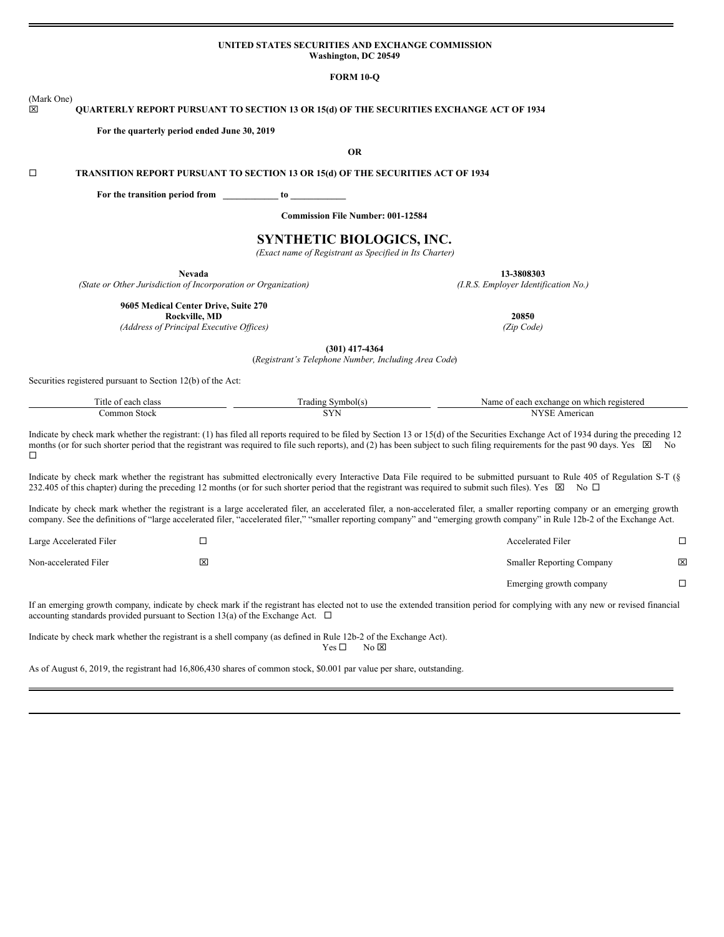### **UNITED STATES SECURITIES AND EXCHANGE COMMISSION Washington, DC 20549**

**FORM 10-Q**

### (Mark One) x **QUARTERLY REPORT PURSUANT TO SECTION 13 OR 15(d) OF THE SECURITIES EXCHANGE ACT OF 1934**

**For the quarterly period ended June 30, 2019**

**OR**

¨ **TRANSITION REPORT PURSUANT TO SECTION 13 OR 15(d) OF THE SECURITIES ACT OF 1934**

**For the transition period from \_\_\_\_\_\_\_\_\_\_\_\_ to \_\_\_\_\_\_\_\_\_\_\_\_**

**Commission File Number: 001-12584**

# **SYNTHETIC BIOLOGICS, INC.**

*(Exact name of Registrant as Specified in Its Charter)*

*(State or Other Jurisdiction of Incorporation or Organization) (I.R.S. Employer Identification No.)*

**Nevada 13-3808303**

**9605 Medical Center Drive, Suite 270**

**Rockville, MD 20850**

*(Address of Principal Executive Of ices) (Zip Code)*

**(301) 417-4364**

(*Registrant's Telephone Number, Including Area Code*)

Securities registered pursuant to Section 12(b) of the Act:

| l itle of eac<br>clas: | /mbol( s<br>rading . | registered<br><sub>on</sub><br>Name<br>exchange<br>000n<br>$\sim$<br>. which -<br><u>Cach</u> |
|------------------------|----------------------|-----------------------------------------------------------------------------------------------|
| ∶ommon Stock           | بنتات                | $   -$<br>American                                                                            |

Indicate by check mark whether the registrant: (1) has filed all reports required to be filed by Section 13 or 15(d) of the Securities Exchange Act of 1934 during the preceding 12 months (or for such shorter period that the registrant was required to file such reports), and (2) has been subject to such filing requirements for the past 90 days. Yes  $\boxtimes$  No  $\Box$ 

Indicate by check mark whether the registrant has submitted electronically every Interactive Data File required to be submitted pursuant to Rule 405 of Regulation S-T (§ 232.405 of this chapter) during the preceding 12 months (or for such shorter period that the registrant was required to submit such files). Yes  $\boxtimes$  No  $\Box$ 

Indicate by check mark whether the registrant is a large accelerated filer, an accelerated filer, a non-accelerated filer, a smaller reporting company or an emerging growth company. See the definitions of "large accelerated filer, "accelerated filer," "smaller reporting company" and "emerging growth company" in Rule 12b-2 of the Exchange Act.

| Large Accelerated Filer |   | <b>Accelerated Filer</b>         |   |
|-------------------------|---|----------------------------------|---|
| Non-accelerated Filer   | × | <b>Smaller Reporting Company</b> | ⊠ |
|                         |   | Emerging growth company          |   |

If an emerging growth company, indicate by check mark if the registrant has elected not to use the extended transition period for complying with any new or revised financial accounting standards provided pursuant to Section 13(a) of the Exchange Act.  $\Box$ 

Indicate by check mark whether the registrant is a shell company (as defined in Rule 12b-2 of the Exchange Act).  $Yes \Box$  No  $\boxtimes$ 

As of August 6, 2019, the registrant had 16,806,430 shares of common stock, \$0.001 par value per share, outstanding.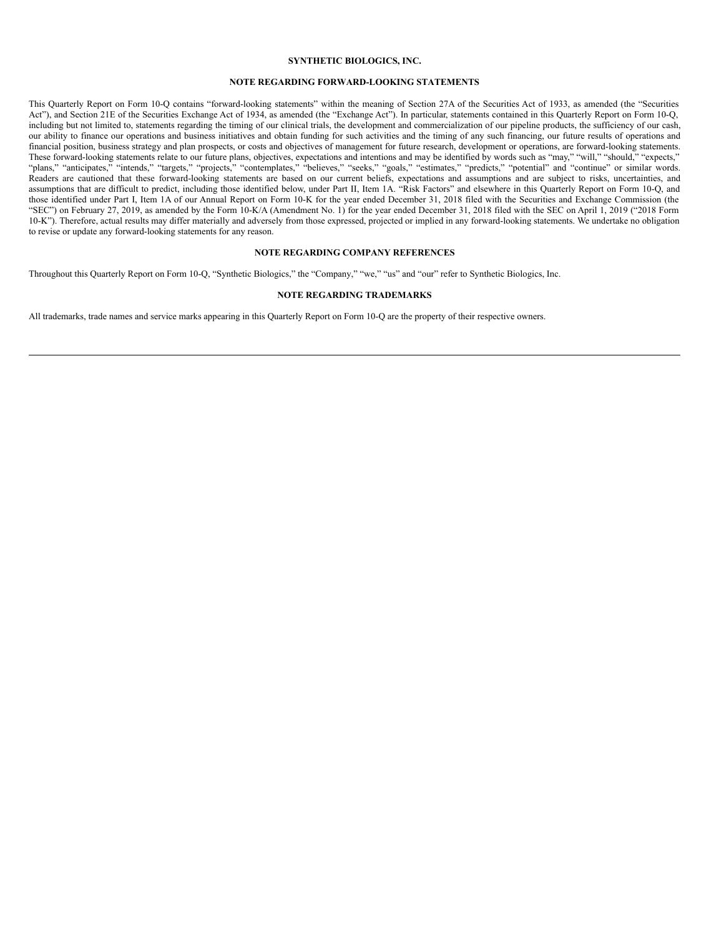### **SYNTHETIC BIOLOGICS, INC.**

## **NOTE REGARDING FORWARD-LOOKING STATEMENTS**

This Quarterly Report on Form 10-Q contains "forward-looking statements" within the meaning of Section 27A of the Securities Act of 1933, as amended (the "Securities Act"), and Section 21E of the Securities Exchange Act of 1934, as amended (the "Exchange Act"). In particular, statements contained in this Quarterly Report on Form 10-Q, including but not limited to, statements regarding the timing of our clinical trials, the development and commercialization of our pipeline products, the sufficiency of our cash, our ability to finance our operations and business initiatives and obtain funding for such activities and the timing of any such financing, our future results of operations and financial position, business strategy and plan prospects, or costs and objectives of management for future research, development or operations, are forward-looking statements. These forward-looking statements relate to our future plans, objectives, expectations and intentions and may be identified by words such as "may," "will," "should," "expects," "plans," "anticipates," "intends," "targets," "projects," "contemplates," "believes," "seeks," "goals," "estimates," "predicts," "potential" and "continue" or similar words. Readers are cautioned that these forward-looking statements are based on our current beliefs, expectations and assumptions and are subject to risks, uncertainties, and Readers are cautioned that these forward-looking state assumptions that are difficult to predict, including those identified below, under Part II, Item 1A. "Risk Factors" and elsewhere in this Quarterly Report on Form 10-Q, and assumptions that are difficult to predict, includ those identified under Part I, Item 1A of our Annual Report on Form 10-K for the year ended December 31, 2018 filed with the Securities and Exchange Commission (the "SEC") on February 27, 2019, as amended by the Form 10-K/A (Amendment No. 1) for the year ended December 31, 2018 filed with the SEC on April 1, 2019 ("2018 Form 10-K"). Therefore, actual results may differ materially and adversely from those expressed, projected or implied in any forward-looking statements. We undertake no obligation to revise or update any forward-looking statements for any reason.

# **NOTE REGARDING COMPANY REFERENCES**

Throughout this Quarterly Report on Form 10-Q, "Synthetic Biologics," the "Company," "we," "us" and "our" refer to Synthetic Biologics, Inc.

### **NOTE REGARDING TRADEMARKS**

All trademarks, trade names and service marks appearing in this Quarterly Report on Form 10-Q are the property of their respective owners.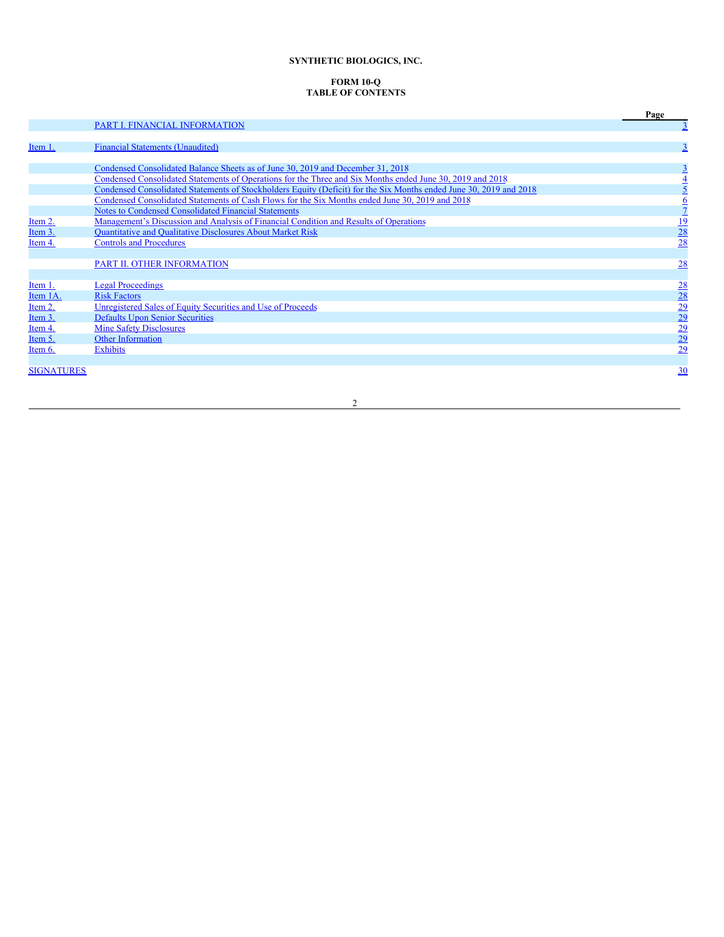# **SYNTHETIC BIOLOGICS, INC.**

# **FORM 10-Q TABLE OF CONTENTS**

|                   |                                                                                                                    | Page                                                            |
|-------------------|--------------------------------------------------------------------------------------------------------------------|-----------------------------------------------------------------|
|                   | <b>PART I. FINANCIAL INFORMATION</b>                                                                               | $\overline{3}$                                                  |
|                   |                                                                                                                    |                                                                 |
| Item 1.           | <b>Financial Statements (Unaudited)</b>                                                                            | $\overline{\mathbf{3}}$                                         |
|                   |                                                                                                                    |                                                                 |
|                   | Condensed Consolidated Balance Sheets as of June 30, 2019 and December 31, 2018                                    | $\overline{3}$                                                  |
|                   | Condensed Consolidated Statements of Operations for the Three and Six Months ended June 30, 2019 and 2018          | $\frac{4}{5}$                                                   |
|                   | Condensed Consolidated Statements of Stockholders Equity (Deficit) for the Six Months ended June 30, 2019 and 2018 |                                                                 |
|                   | Condensed Consolidated Statements of Cash Flows for the Six Months ended June 30, 2019 and 2018                    | $\frac{6}{7}$                                                   |
|                   | <b>Notes to Condensed Consolidated Financial Statements</b>                                                        |                                                                 |
| Item 2.           | Management's Discussion and Analysis of Financial Condition and Results of Operations                              |                                                                 |
| Item 3.           | <b>Ouantitative and Oualitative Disclosures About Market Risk</b>                                                  | $\frac{19}{28}$                                                 |
| Item 4.           | <b>Controls and Procedures</b>                                                                                     |                                                                 |
|                   |                                                                                                                    |                                                                 |
|                   | PART II. OTHER INFORMATION                                                                                         | 28                                                              |
|                   |                                                                                                                    |                                                                 |
| Item 1.           | <b>Legal Proceedings</b>                                                                                           |                                                                 |
| Item 1A.          | <b>Risk Factors</b>                                                                                                |                                                                 |
| Item 2.           | Unregistered Sales of Equity Securities and Use of Proceeds                                                        |                                                                 |
| Item 3.           | <b>Defaults Upon Senior Securities</b>                                                                             |                                                                 |
| Item 4.           | <b>Mine Safety Disclosures</b>                                                                                     |                                                                 |
| Item 5.           | <b>Other Information</b>                                                                                           | $\frac{28}{28}$ $\frac{29}{29}$ $\frac{29}{29}$ $\frac{29}{29}$ |
| Item 6.           | <b>Exhibits</b>                                                                                                    |                                                                 |
|                   |                                                                                                                    |                                                                 |
| <b>SIGNATURES</b> |                                                                                                                    | 30                                                              |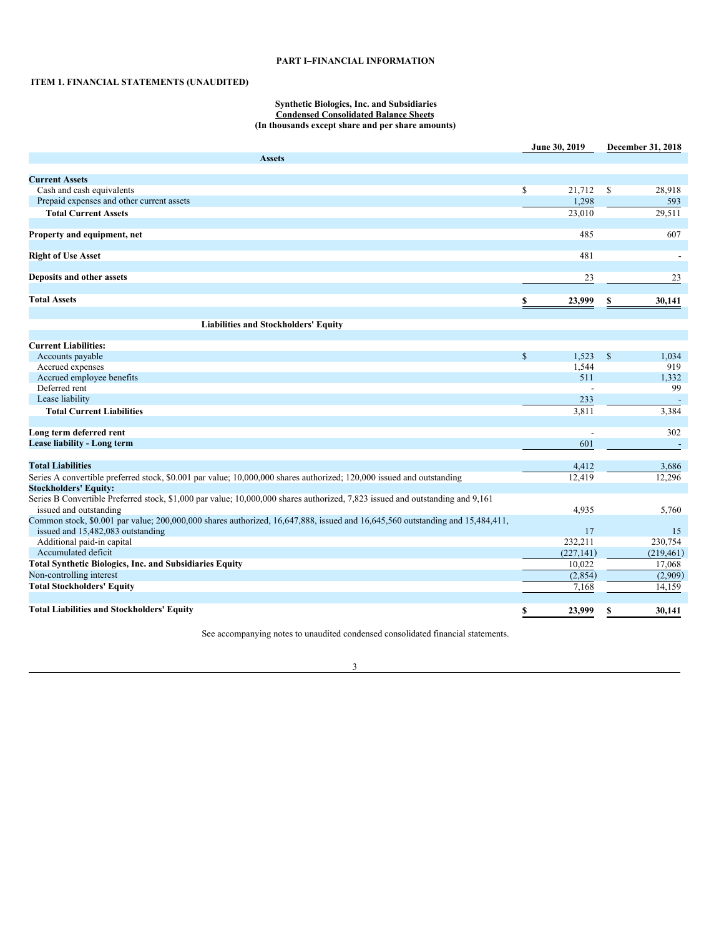# <span id="page-3-0"></span>**PART I–FINANCIAL INFORMATION**

# <span id="page-3-1"></span>**ITEM 1. FINANCIAL STATEMENTS (UNAUDITED)**

### <span id="page-3-2"></span>**Synthetic Biologics, Inc. and Subsidiaries Condensed Consolidated Balance Sheets (In thousands except share and per share amounts)**

|                                                                                                                                                                    |                         | June 30, 2019 |              | December 31, 2018 |
|--------------------------------------------------------------------------------------------------------------------------------------------------------------------|-------------------------|---------------|--------------|-------------------|
| <b>Assets</b>                                                                                                                                                      |                         |               |              |                   |
| <b>Current Assets</b>                                                                                                                                              |                         |               |              |                   |
| Cash and cash equivalents                                                                                                                                          | $\mathbb{S}$            | 21,712        | \$           | 28,918            |
| Prepaid expenses and other current assets                                                                                                                          |                         | 1,298         |              |                   |
| <b>Total Current Assets</b>                                                                                                                                        |                         |               |              | 593               |
|                                                                                                                                                                    |                         | 23,010        |              | 29,511            |
| Property and equipment, net                                                                                                                                        |                         | 485           |              | 607               |
| <b>Right of Use Asset</b>                                                                                                                                          |                         | 481           |              |                   |
| Deposits and other assets                                                                                                                                          |                         | 23            |              | 23                |
| <b>Total Assets</b>                                                                                                                                                | $\overline{\mathbf{2}}$ | 23,999        | \$           | 30,141            |
|                                                                                                                                                                    |                         |               |              |                   |
| <b>Liabilities and Stockholders' Equity</b>                                                                                                                        |                         |               |              |                   |
|                                                                                                                                                                    |                         |               |              |                   |
| <b>Current Liabilities:</b>                                                                                                                                        |                         |               |              |                   |
| Accounts payable                                                                                                                                                   | $\mathsf{\$}$           | 1,523         | $\mathbb{S}$ | 1,034             |
| Accrued expenses                                                                                                                                                   |                         | 1,544         |              | 919               |
| Accrued employee benefits                                                                                                                                          |                         | 511           |              | 1,332             |
| Deferred rent                                                                                                                                                      |                         |               |              | 99                |
| Lease liability                                                                                                                                                    |                         | 233           |              |                   |
| <b>Total Current Liabilities</b>                                                                                                                                   |                         | 3,811         |              | 3,384             |
| Long term deferred rent                                                                                                                                            |                         |               |              | 302               |
| Lease liability - Long term                                                                                                                                        |                         | 601           |              | $\sim$            |
|                                                                                                                                                                    |                         |               |              |                   |
| <b>Total Liabilities</b>                                                                                                                                           |                         | 4,412         |              | 3,686             |
| Series A convertible preferred stock, \$0.001 par value; 10,000,000 shares authorized; 120,000 issued and outstanding                                              |                         | 12,419        |              | 12,296            |
| <b>Stockholders' Equity:</b>                                                                                                                                       |                         |               |              |                   |
| Series B Convertible Preferred stock, \$1,000 par value; 10,000,000 shares authorized, 7,823 issued and outstanding and 9,161                                      |                         |               |              |                   |
| issued and outstanding                                                                                                                                             |                         | 4,935         |              | 5,760             |
| Common stock, \$0.001 par value; 200,000,000 shares authorized, 16,647,888, issued and 16,645,560 outstanding and 15,484,411,<br>issued and 15,482,083 outstanding |                         | 17            |              | 15                |
| Additional paid-in capital                                                                                                                                         |                         | 232,211       |              | 230,754           |
| Accumulated deficit                                                                                                                                                |                         | (227, 141)    |              | (219, 461)        |
| <b>Total Synthetic Biologics, Inc. and Subsidiaries Equity</b>                                                                                                     |                         | 10.022        |              | 17,068            |
| Non-controlling interest                                                                                                                                           |                         | (2,854)       |              | (2,909)           |
| <b>Total Stockholders' Equity</b>                                                                                                                                  |                         | 7,168         |              | 14,159            |
|                                                                                                                                                                    |                         |               |              |                   |
| <b>Total Liabilities and Stockholders' Equity</b>                                                                                                                  | \$                      | 23,999        | \$           | 30.141            |

See accompanying notes to unaudited condensed consolidated financial statements.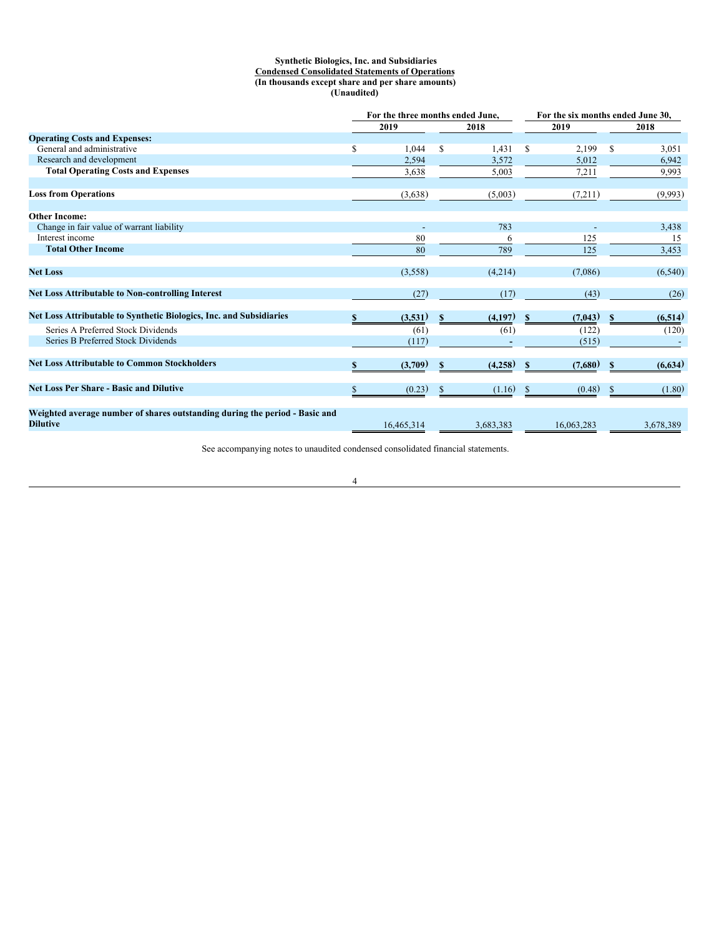## <span id="page-4-0"></span>**Synthetic Biologics, Inc. and Subsidiaries Condensed Consolidated Statements of Operations (In thousands except share and per share amounts) (Unaudited)**

|                                                                                                |    | For the three months ended June, |              |           |               | For the six months ended June 30, |              |           |
|------------------------------------------------------------------------------------------------|----|----------------------------------|--------------|-----------|---------------|-----------------------------------|--------------|-----------|
|                                                                                                |    | 2019                             |              | 2018      |               | 2019                              |              | 2018      |
| <b>Operating Costs and Expenses:</b>                                                           |    |                                  |              |           |               |                                   |              |           |
| General and administrative                                                                     | \$ | 1,044                            | S            | 1,431     | S             | 2,199                             | S            | 3,051     |
| Research and development                                                                       |    | 2,594                            |              | 3,572     |               | 5,012                             |              | 6,942     |
| <b>Total Operating Costs and Expenses</b>                                                      |    | 3,638                            |              | 5,003     |               | 7,211                             |              | 9,993     |
| <b>Loss from Operations</b>                                                                    |    | (3,638)                          |              | (5,003)   |               | (7,211)                           |              | (9,993)   |
| <b>Other Income:</b>                                                                           |    |                                  |              |           |               |                                   |              |           |
| Change in fair value of warrant liability                                                      |    |                                  |              | 783       |               |                                   |              | 3,438     |
| Interest income                                                                                |    | 80                               |              | 6         |               | 125                               |              | 15        |
| <b>Total Other Income</b>                                                                      |    | 80                               |              | 789       |               | 125                               |              | 3,453     |
| <b>Net Loss</b>                                                                                |    | (3,558)                          |              | (4,214)   |               | (7,086)                           |              | (6,540)   |
| <b>Net Loss Attributable to Non-controlling Interest</b>                                       |    | (27)                             |              | (17)      |               | (43)                              |              | (26)      |
| Net Loss Attributable to Synthetic Biologics, Inc. and Subsidiaries                            | S  | (3,531)                          | <sup>S</sup> | (4,197)   | -S            | (7,043)                           | S            | (6,514)   |
| Series A Preferred Stock Dividends                                                             |    | (61)                             |              | (61)      |               | (122)                             |              | (120)     |
| Series B Preferred Stock Dividends                                                             |    | (117)                            |              |           |               | (515)                             |              |           |
| <b>Net Loss Attributable to Common Stockholders</b>                                            |    | (3,709)                          | \$           | (4,258)   | S             | (7,680)                           | $\mathbf{s}$ | (6,634)   |
| <b>Net Loss Per Share - Basic and Dilutive</b>                                                 |    | (0.23)                           | \$           | (1.16)    | <sup>\$</sup> | (0.48)                            | S            | (1.80)    |
| Weighted average number of shares outstanding during the period - Basic and<br><b>Dilutive</b> |    | 16,465,314                       |              | 3,683,383 |               | 16.063.283                        |              | 3,678,389 |

See accompanying notes to unaudited condensed consolidated financial statements.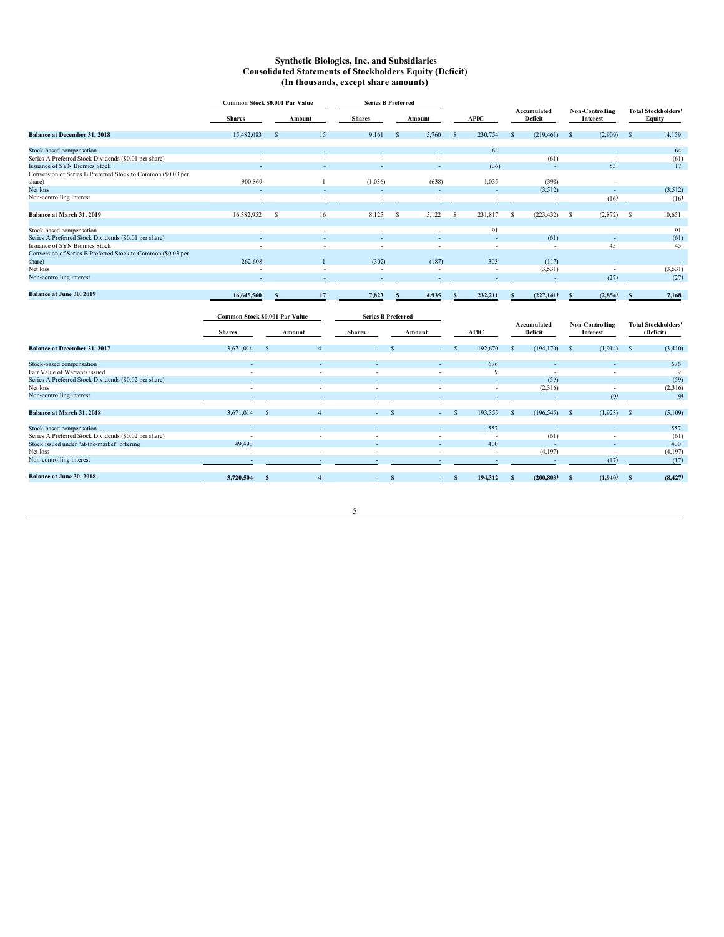### <span id="page-5-0"></span>**Synthetic Biologics, Inc. and Subsidiaries Consolidated Statements of Stockholders Equity (Deficit) (In thousands, except share amounts)**

|                                                                        | Common Stock \$0.001 Par Value |    |                          | <b>Series B Preferred</b> |    |                          |    |                          |              |                          |                             |    |                                      |
|------------------------------------------------------------------------|--------------------------------|----|--------------------------|---------------------------|----|--------------------------|----|--------------------------|--------------|--------------------------|-----------------------------|----|--------------------------------------|
|                                                                        | <b>Shares</b>                  |    | Amount                   | <b>Shares</b>             |    | Amount                   |    | APIC                     |              | Accumulated<br>Deficit   | Non-Controlling<br>Interest |    | <b>Total Stockholders'</b><br>Equity |
| <b>Balance at December 31, 2018</b>                                    | 15,482,083                     |    | 15                       | 9,161                     | -8 | 5,760                    | -S | 230,754                  | <sup>S</sup> | (219, 461)               | (2,909)<br>- S              | -S | 14,159                               |
| Stock-based compensation                                               |                                |    |                          |                           |    |                          |    | 64                       |              |                          |                             |    | 64                                   |
| Series A Preferred Stock Dividends (\$0.01 per share)                  | $\overline{\phantom{a}}$       |    | $\overline{\phantom{a}}$ | $\overline{\phantom{a}}$  |    | $\overline{\phantom{a}}$ |    | $\overline{\phantom{a}}$ |              | (61)                     | ٠                           |    | (61)                                 |
| <b>Issuance of SYN Biomics Stock</b>                                   |                                |    |                          | ۰                         |    | $\overline{\phantom{a}}$ |    | (36)                     |              | ٠                        | 53                          |    | 17                                   |
| Conversion of Series B Preferred Stock to Common (\$0.03 per<br>share) | 900,869                        |    |                          | (1,036)                   |    | (638)                    |    | 1,035                    |              | (398)                    |                             |    | $\overline{\phantom{a}}$             |
| Net loss                                                               |                                |    |                          |                           |    |                          |    |                          |              | (3,512)                  |                             |    | (3,512)                              |
| Non-controlling interest                                               | $\overline{\phantom{a}}$       |    |                          | ٠                         |    |                          |    |                          |              |                          | (16)                        |    | (16)                                 |
| Balance at March 31, 2019                                              | 16,382,952                     | -S | 16                       | 8,125                     | -S | 5,122                    | S  | 231,817                  | s            | (223, 432)               | (2,872)<br>- S              | -S | 10,651                               |
| Stock-based compensation                                               | $\overline{\phantom{a}}$       |    | $\overline{\phantom{a}}$ | $\overline{\phantom{a}}$  |    |                          |    | 91                       |              | $\overline{\phantom{a}}$ | ٠                           |    | 91                                   |
| Series A Preferred Stock Dividends (\$0.01 per share)                  |                                |    |                          |                           |    |                          |    |                          |              | (61)                     | ٠                           |    | (61)                                 |
| Issuance of SYN Biomics Stock                                          |                                |    |                          |                           |    |                          |    |                          |              |                          | 45                          |    | 45                                   |
| Conversion of Series B Preferred Stock to Common (\$0.03 per           |                                |    |                          |                           |    |                          |    |                          |              |                          |                             |    |                                      |
| share)                                                                 | 262,608                        |    |                          | (302)                     |    | (187)                    |    | 303                      |              | (117)                    |                             |    | $\overline{a}$                       |
| Net loss                                                               | $\overline{\phantom{a}}$       |    | $\overline{\phantom{a}}$ | $\overline{\phantom{a}}$  |    | ٠.                       |    | $\overline{\phantom{a}}$ |              | (3,531)                  |                             |    | (3,531)                              |
| Non-controlling interest                                               |                                |    |                          |                           |    |                          |    |                          |              |                          | (27)                        |    | (27)                                 |
| Balance at June 30, 2019                                               | 16,645,560                     | -8 | 17                       | 7,823                     | -8 | 4,935                    | S  | 232,211                  |              | (227,141)                | (2,854)<br>- 8              | -8 | 7,168                                |

|                                                       | Common Stock \$0.001 Par Value |          |                          | <b>Series B Preferred</b> |                          |  |                          |               |                        |     |                                    |     |                                         |  |  |  |  |  |  |  |  |  |  |  |  |  |  |
|-------------------------------------------------------|--------------------------------|----------|--------------------------|---------------------------|--------------------------|--|--------------------------|---------------|------------------------|-----|------------------------------------|-----|-----------------------------------------|--|--|--|--|--|--|--|--|--|--|--|--|--|--|
|                                                       | <b>Shares</b>                  |          | Amount                   | <b>Shares</b>             | Amount                   |  | <b>APIC</b>              |               | Accumulated<br>Deficit |     | <b>Non-Controlling</b><br>Interest |     | <b>Total Stockholders'</b><br>(Deficit) |  |  |  |  |  |  |  |  |  |  |  |  |  |  |
| Balance at December 31, 2017                          | 3,671,014                      | <b>S</b> |                          | $\Delta \sim 10^{-10}$    | $\sim$                   |  | 192,670                  | $\mathcal{S}$ | (194, 170)             | - S | (1,914)                            | - S | (3, 410)                                |  |  |  |  |  |  |  |  |  |  |  |  |  |  |
| Stock-based compensation                              |                                |          |                          |                           | $\sim$                   |  | 676                      |               |                        |     | $\sim$                             |     | 676                                     |  |  |  |  |  |  |  |  |  |  |  |  |  |  |
| Fair Value of Warrants issued                         | $\overline{\phantom{a}}$       |          | $\sim$                   | ٠                         | ٠                        |  | 9                        |               |                        |     | $\sim$                             |     | 9                                       |  |  |  |  |  |  |  |  |  |  |  |  |  |  |
| Series A Preferred Stock Dividends (\$0.02 per share) | $\overline{a}$                 |          | $\overline{\phantom{a}}$ | ٠                         |                          |  | $\overline{a}$           |               | (59)                   |     | $\sim$                             |     | (59)                                    |  |  |  |  |  |  |  |  |  |  |  |  |  |  |
| Net loss                                              | $\overline{\phantom{a}}$       |          | $\overline{\phantom{a}}$ | ٠                         | $\overline{\phantom{a}}$ |  | $\overline{a}$           |               | (2,316)                |     |                                    |     | (2,316)                                 |  |  |  |  |  |  |  |  |  |  |  |  |  |  |
| Non-controlling interest                              |                                |          |                          |                           |                          |  |                          |               |                        |     | (9)                                |     | (9)                                     |  |  |  |  |  |  |  |  |  |  |  |  |  |  |
| Balance at March 31, 2018                             | 3,671,014                      |          |                          | $\sim$                    | $\sim$                   |  | 193,355                  | s.            | (196, 545)             | - S | (1,923)                            | -S  | (5,109)                                 |  |  |  |  |  |  |  |  |  |  |  |  |  |  |
| Stock-based compensation                              |                                |          |                          |                           |                          |  | 557                      |               |                        |     |                                    |     | 557                                     |  |  |  |  |  |  |  |  |  |  |  |  |  |  |
| Series A Preferred Stock Dividends (\$0.02 per share) | $\overline{\phantom{a}}$       |          | ٠                        | $\overline{\phantom{a}}$  | ٠                        |  | $\overline{\phantom{a}}$ |               | (61)                   |     |                                    |     | (61)                                    |  |  |  |  |  |  |  |  |  |  |  |  |  |  |
| Stock issued under "at-the-market" offering           | 49,490                         |          |                          |                           |                          |  | 400                      |               |                        |     |                                    |     | 400                                     |  |  |  |  |  |  |  |  |  |  |  |  |  |  |
| Net loss                                              | $\overline{\phantom{a}}$       |          | $\overline{\phantom{a}}$ | ٠                         | $\overline{\phantom{a}}$ |  | $\overline{\phantom{a}}$ |               | (4,197)                |     | $\sim$                             |     | (4,197)                                 |  |  |  |  |  |  |  |  |  |  |  |  |  |  |
| Non-controlling interest                              |                                |          |                          |                           |                          |  |                          |               |                        |     | (17)                               |     | (17)                                    |  |  |  |  |  |  |  |  |  |  |  |  |  |  |
| Balance at June 30, 2018                              | 3,720,504                      |          |                          |                           |                          |  | 194,312                  |               | (200, 803)             |     | (1,940)                            |     | (8, 427)                                |  |  |  |  |  |  |  |  |  |  |  |  |  |  |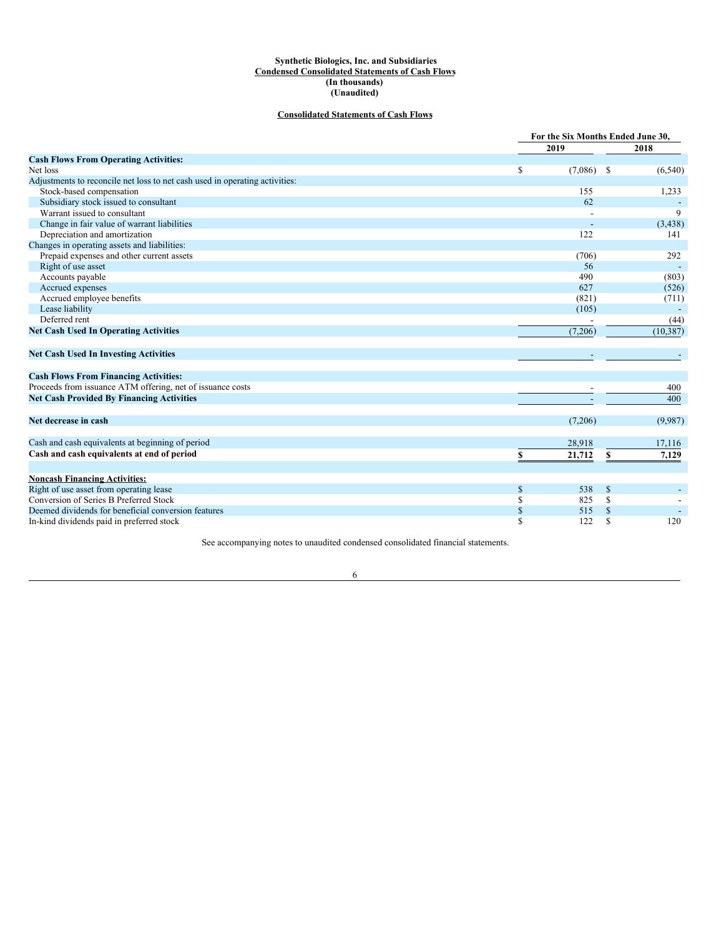### <span id="page-6-0"></span>**Synthetic Biologics, Inc. and Subsidiaries Condensed Consolidated Statements of Cash Flows (In thousands) (Unaudited)**

# **Consolidated Statements of Cash Flows**

|                                                                             |              | For the Six Months Ended June 30, |           |  |  |  |
|-----------------------------------------------------------------------------|--------------|-----------------------------------|-----------|--|--|--|
|                                                                             | 2019         |                                   | 2018      |  |  |  |
| <b>Cash Flows From Operating Activities:</b>                                |              |                                   |           |  |  |  |
| Net loss                                                                    | \$           | $(7,086)$ \$                      | (6,540)   |  |  |  |
| Adjustments to reconcile net loss to net cash used in operating activities: |              |                                   |           |  |  |  |
| Stock-based compensation                                                    | 155          |                                   | 1,233     |  |  |  |
| Subsidiary stock issued to consultant                                       |              | 62                                |           |  |  |  |
| Warrant issued to consultant                                                |              |                                   | 9         |  |  |  |
| Change in fair value of warrant liabilities                                 |              |                                   | (3, 438)  |  |  |  |
| Depreciation and amortization                                               | 122          |                                   | 141       |  |  |  |
| Changes in operating assets and liabilities:                                |              |                                   |           |  |  |  |
| Prepaid expenses and other current assets                                   | (706)        |                                   | 292       |  |  |  |
| Right of use asset                                                          | 56           |                                   |           |  |  |  |
| Accounts payable                                                            | 490          |                                   | (803)     |  |  |  |
| Accrued expenses                                                            | 627          |                                   | (526)     |  |  |  |
| Accrued employee benefits                                                   | (821)        |                                   | (711)     |  |  |  |
| Lease liability                                                             | (105)        |                                   |           |  |  |  |
| Deferred rent                                                               |              |                                   | (44)      |  |  |  |
| <b>Net Cash Used In Operating Activities</b>                                | (7,206)      |                                   | (10, 387) |  |  |  |
| <b>Net Cash Used In Investing Activities</b>                                |              |                                   |           |  |  |  |
| <b>Cash Flows From Financing Activities:</b>                                |              |                                   |           |  |  |  |
| Proceeds from issuance ATM offering, net of issuance costs                  |              |                                   | 400       |  |  |  |
| <b>Net Cash Provided By Financing Activities</b>                            |              |                                   | 400       |  |  |  |
|                                                                             |              |                                   |           |  |  |  |
| Net decrease in cash                                                        | (7,206)      |                                   | (9,987)   |  |  |  |
| Cash and cash equivalents at beginning of period                            | 28,918       |                                   | 17,116    |  |  |  |
| Cash and cash equivalents at end of period                                  | 21,712<br>\$ | \$                                | 7,129     |  |  |  |
|                                                                             |              |                                   |           |  |  |  |
| <b>Noncash Financing Activities:</b>                                        |              |                                   |           |  |  |  |
| Right of use asset from operating lease                                     | \$<br>538    | \$                                |           |  |  |  |
| Conversion of Series B Preferred Stock                                      | \$<br>825    | \$                                |           |  |  |  |
| Deemed dividends for beneficial conversion features                         | \$<br>515    | \$                                |           |  |  |  |
| In-kind dividends paid in preferred stock                                   | \$<br>122    | \$                                | 120       |  |  |  |

See accompanying notes to unaudited condensed consolidated financial statements.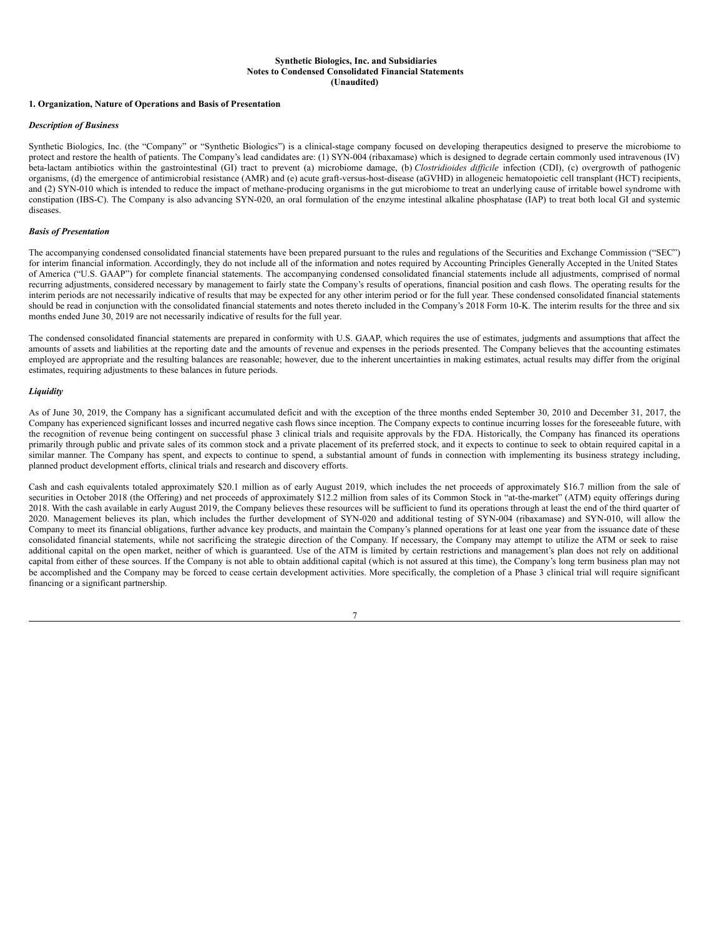## <span id="page-7-0"></span>**Synthetic Biologics, Inc. and Subsidiaries Notes to Condensed Consolidated Financial Statements (Unaudited)**

## **1. Organization, Nature of Operations and Basis of Presentation**

### *Description of Business*

Synthetic Biologics, Inc. (the "Company" or "Synthetic Biologics") is a clinical-stage company focused on developing therapeutics designed to preserve the microbiome to protect and restore the health of patients. The Company's lead candidates are: (1) SYN-004 (ribaxamase) which is designed to degrade certain commonly used intravenous (IV) beta-lactam antibiotics within the gastrointestinal (GI) tract to prevent (a) microbiome damage, (b) *Clostridioides dif icile* infection (CDI), (c) overgrowth of pathogenic organisms, (d) the emergence of antimicrobial resistance (AMR) and (e) acute graft-versus-host-disease (aGVHD) in allogeneic hematopoietic cell transplant (HCT) recipients, and (2) SYN-010 which is intended to reduce the impact of methane-producing organisms in the gut microbiome to treat an underlying cause of irritable bowel syndrome with constipation (IBS-C). The Company is also advancing SYN-020, an oral formulation of the enzyme intestinal alkaline phosphatase (IAP) to treat both local GI and systemic diseases.

# *Basis of Presentation*

The accompanying condensed consolidated financial statements have been prepared pursuant to the rules and regulations of the Securities and Exchange Commission ("SEC") for interim financial information. Accordingly, they do not include all of the information and notes required by Accounting Principles Generally Accepted in the United States of America ("U.S. GAAP") for complete financial statements. The accompanying condensed consolidated financial statements include all adjustments, comprised of normal recurring adjustments, considered necessary by management to fairly state the Company's results of operations, financial position and cash flows. The operating results for the interim periods are not necessarily indicative of results that may be expected for any other interim period or for the full year. These condensed consolidated financial statements should be read in conjunction with the consolidated financial statements and notes thereto included in the Company's 2018 Form 10-K. The interim results for the three and six months ended June 30, 2019 are not necessarily indicative of results for the full year.

The condensed consolidated financial statements are prepared in conformity with U.S. GAAP, which requires the use of estimates, judgments and assumptions that affect the amounts of assets and liabilities at the reporting date and the amounts of revenue and expenses in the periods presented. The Company believes that the accounting estimates employed are appropriate and the resulting balances are reasonable; however, due to the inherent uncertainties in making estimates, actual results may differ from the original estimates, requiring adjustments to these balances in future periods.

### *Liquidity*

As of June 30, 2019, the Company has a significant accumulated deficit and with the exception of the three months ended September 30, 2010 and December 31, 2017, the Company has experienced significant losses and incurred negative cash flows since inception. The Company expects to continue incurring losses for the foreseeable future, with the recognition of revenue being contingent on successful phase 3 clinical trials and requisite approvals by the FDA. Historically, the Company has financed its operations primarily through public and private sales of its common stock and a private placement of its preferred stock, and it expects to continue to seek to obtain required capital in a similar manner. The Company has spent, and expects to continue to spend, a substantial amount of funds in connection with implementing its business strategy including, planned product development efforts, clinical trials and research and discovery efforts.

Cash and cash equivalents totaled approximately \$20.1 million as of early August 2019, which includes the net proceeds of approximately \$16.7 million from the sale of securities in October 2018 (the Offering) and net proceeds of approximately \$12.2 million from sales of its Common Stock in "at-the-market" (ATM) equity offerings during 2018. With the cash available in early August 2019, the Company believes these resources will be sufficient to fund its operations through at least the end of the third quarter of 2020. Management believes its plan, which includes the further development of SYN-020 and additional testing of SYN-004 (ribaxamase) and SYN-010, will allow the Company to meet its financial obligations, further advance key products, and maintain the Company's planned operations for at least one year from the issuance date of these consolidated financial statements, while not sacrificing the strategic direction of the Company. If necessary, the Company may attempt to utilize the ATM or seek to raise additional capital on the open market, neither of which is guaranteed. Use of the ATM is limited by certain restrictions and management's plan does not rely on additional capital from either of these sources. If the Company is not able to obtain additional capital (which is not assured at this time), the Company's long term business plan may not be accomplished and the Company may be forced to cease certain development activities. More specifically, the completion of a Phase 3 clinical trial will require significant financing or a significant partnership.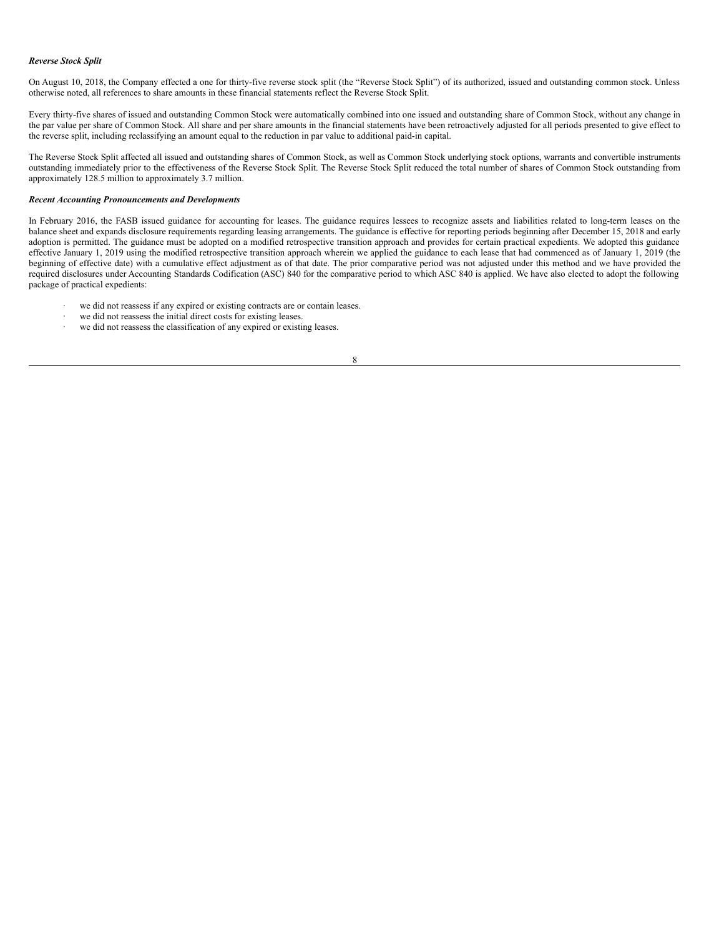### *Reverse Stock Split*

On August 10, 2018, the Company effected a one for thirty-five reverse stock split (the "Reverse Stock Split") of its authorized, issued and outstanding common stock. Unless otherwise noted, all references to share amounts in these financial statements reflect the Reverse Stock Split.

Every thirty-five shares of issued and outstanding Common Stock were automatically combined into one issued and outstanding share of Common Stock, without any change in the par value per share of Common Stock. All share and per share amounts in the financial statements have been retroactively adjusted for all periods presented to give effect to the reverse split, including reclassifying an amount equal to the reduction in par value to additional paid-in capital.

The Reverse Stock Split affected all issued and outstanding shares of Common Stock, as well as Common Stock underlying stock options, warrants and convertible instruments outstanding immediately prior to the effectiveness of the Reverse Stock Split. The Reverse Stock Split reduced the total number of shares of Common Stock outstanding from approximately 128.5 million to approximately 3.7 million.

### *Recent Accounting Pronouncements and Developments*

In February 2016, the FASB issued guidance for accounting for leases. The guidance requires lessees to recognize assets and liabilities related to long-term leases on the balance sheet and expands disclosure requirements regarding leasing arrangements. The guidance is effective for reporting periods beginning after December 15, 2018 and early adoption is permitted. The guidance must be adopted on a modified retrospective transition approach and provides for certain practical expedients. We adopted this guidance effective January 1, 2019 using the modified retrospective transition approach wherein we applied the guidance to each lease that had commenced as of January 1, 2019 (the beginning of effective date) with a cumulative effect adjustment as of that date. The prior comparative period was not adjusted under this method and we have provided the required disclosures under Accounting Standards Codification (ASC) 840 for the comparative period to which ASC 840 is applied. We have also elected to adopt the following package of practical expedients:

- we did not reassess if any expired or existing contracts are or contain leases.
- we did not reassess the initial direct costs for existing leases.
- · we did not reassess the classification of any expired or existing leases.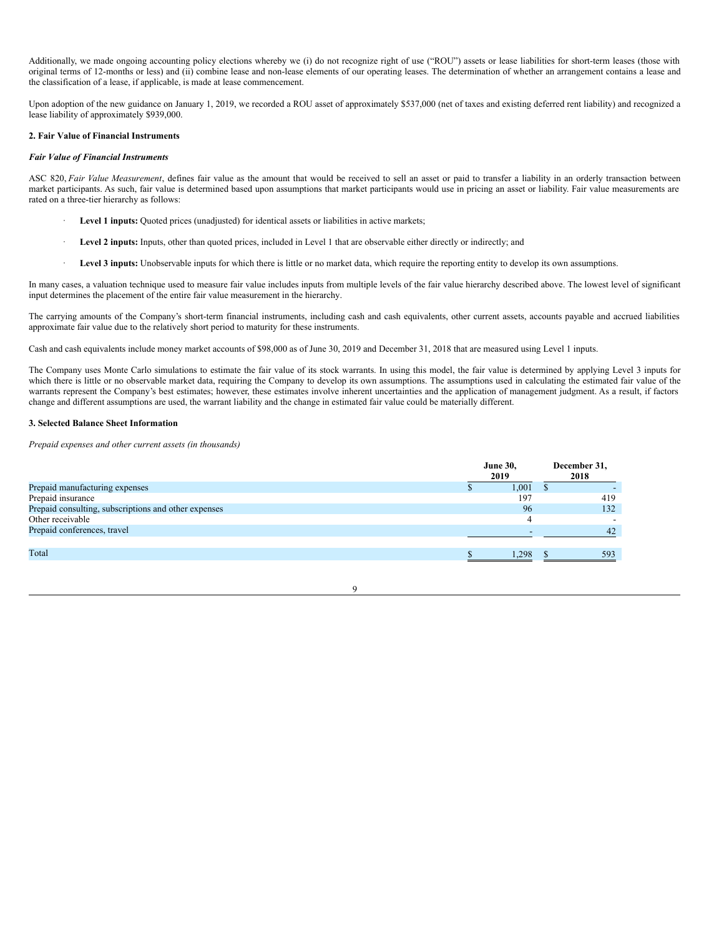Additionally, we made ongoing accounting policy elections whereby we (i) do not recognize right of use ("ROU") assets or lease liabilities for short-term leases (those with original terms of 12-months or less) and (ii) combine lease and non-lease elements of our operating leases. The determination of whether an arrangement contains a lease and the classification of a lease, if applicable, is made at lease commencement.

Upon adoption of the new guidance on January 1, 2019, we recorded a ROU asset of approximately \$537,000 (net of taxes and existing deferred rent liability) and recognized a lease liability of approximately \$939,000.

# **2. Fair Value of Financial Instruments**

## *Fair Value of Financial Instruments*

ASC 820, *Fair Value Measurement*, defines fair value as the amount that would be received to sell an asset or paid to transfer a liability in an orderly transaction between market participants. As such, fair value is determined based upon assumptions that market participants would use in pricing an asset or liability. Fair value measurements are rated on a three-tier hierarchy as follows:

- Level 1 inputs: Quoted prices (unadjusted) for identical assets or liabilities in active markets;
- · **Level 2 inputs:** Inputs, other than quoted prices, included in Level 1 that are observable either directly or indirectly; and
- Level 3 inputs: Unobservable inputs for which there is little or no market data, which require the reporting entity to develop its own assumptions.

In many cases, a valuation technique used to measure fair value includes inputs from multiple levels of the fair value hierarchy described above. The lowest level of significant input determines the placement of the entire fair value measurement in the hierarchy.

The carrying amounts of the Company's short-term financial instruments, including cash and cash equivalents, other current assets, accounts payable and accrued liabilities approximate fair value due to the relatively short period to maturity for these instruments.

Cash and cash equivalents include money market accounts of \$98,000 as of June 30, 2019 and December 31, 2018 that are measured using Level 1 inputs.

The Company uses Monte Carlo simulations to estimate the fair value of its stock warrants. In using this model, the fair value is determined by applying Level 3 inputs for which there is little or no observable market data, requiring the Company to develop its own assumptions. The assumptions used in calculating the estimated fair value of the warrants represent the Company's best estimates; however, these estimates involve inherent uncertainties and the application of management judgment. As a result, if factors change and different assumptions are used, the warrant liability and the change in estimated fair value could be materially different.

9

## **3. Selected Balance Sheet Information**

*Prepaid expenses and other current assets (in thousands)*

|                                                      | <b>June 30,</b><br>2019 | December 31,<br>2018 |
|------------------------------------------------------|-------------------------|----------------------|
| Prepaid manufacturing expenses                       | 1,001                   |                      |
| Prepaid insurance                                    | 197                     | 419                  |
| Prepaid consulting, subscriptions and other expenses | 96                      | 132                  |
| Other receivable                                     |                         |                      |
| Prepaid conferences, travel                          |                         | 42                   |
|                                                      |                         |                      |
| Total                                                | 1.298                   | 593                  |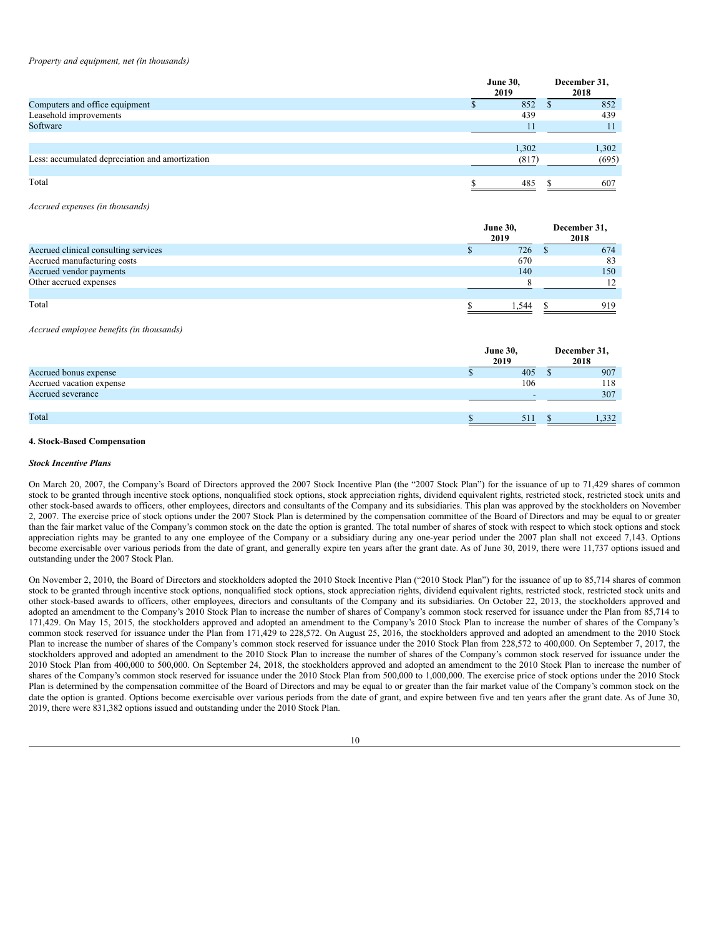#### *Property and equipment, net (in thousands)*

|                                                 | <b>June 30,</b><br>2019 | December 31,<br>2018 |
|-------------------------------------------------|-------------------------|----------------------|
| Computers and office equipment                  | 852                     | 852                  |
| Leasehold improvements                          | 439                     | 439                  |
| Software                                        |                         |                      |
|                                                 |                         |                      |
|                                                 | 1.302                   | 1,302                |
| Less: accumulated depreciation and amortization | (817)                   | (695)                |
|                                                 |                         |                      |
| Total                                           | 485                     | 607                  |

*Accrued expenses (in thousands)*

|                                      | <b>June 30,</b><br>2019 | December 31,<br>2018 |
|--------------------------------------|-------------------------|----------------------|
| Accrued clinical consulting services | 726                     | 674                  |
| Accrued manufacturing costs          | 670                     | 83                   |
| Accrued vendor payments              | 140                     | 150                  |
| Other accrued expenses               |                         | 12                   |
|                                      |                         |                      |
| Total                                | . . 544                 | 919                  |

#### *Accrued employee benefits (in thousands)*

|                          | <b>June 30,</b><br>2019 |     | December 31,<br>2018 |
|--------------------------|-------------------------|-----|----------------------|
| Accrued bonus expense    |                         | 405 | 907                  |
| Accrued vacation expense |                         | 106 | 118                  |
| Accrued severance        |                         |     | 307                  |
|                          |                         |     |                      |
| Total                    |                         | 511 | 1,332                |

### **4. Stock-Based Compensation**

### *Stock Incentive Plans*

On March 20, 2007, the Company's Board of Directors approved the 2007 Stock Incentive Plan (the "2007 Stock Plan") for the issuance of up to 71,429 shares of common stock to be granted through incentive stock options, nonqualified stock options, stock appreciation rights, dividend equivalent rights, restricted stock, restricted stock units and other stock-based awards to officers, other employees, directors and consultants of the Company and its subsidiaries. This plan was approved by the stockholders on November 2, 2007. The exercise price of stock options under the 2007 Stock Plan is determined by the compensation committee of the Board of Directors and may be equal to or greater than the fair market value of the Company's common stock on the date the option is granted. The total number of shares of stock with respect to which stock options and stock appreciation rights may be granted to any one employee of the Company or a subsidiary during any one-year period under the 2007 plan shall not exceed 7,143. Options become exercisable over various periods from the date of grant, and generally expire ten years after the grant date. As of June 30, 2019, there were 11,737 options issued and outstanding under the 2007 Stock Plan.

On November 2, 2010, the Board of Directors and stockholders adopted the 2010 Stock Incentive Plan ("2010 Stock Plan") for the issuance of up to 85,714 shares of common stock to be granted through incentive stock options, nonqualified stock options, stock appreciation rights, dividend equivalent rights, restricted stock, restricted stock units and other stock-based awards to officers, other employees, directors and consultants of the Company and its subsidiaries. On October 22, 2013, the stockholders approved and adopted an amendment to the Company's 2010 Stock Plan to increase the number of shares of Company's common stock reserved for issuance under the Plan from 85,714 to 171,429. On May 15, 2015, the stockholders approved and adopted an amendment to the Company's 2010 Stock Plan to increase the number of shares of the Company's common stock reserved for issuance under the Plan from 171,429 to 228,572. On August 25, 2016, the stockholders approved and adopted an amendment to the 2010 Stock Plan to increase the number of shares of the Company's common stock reserved for issuance under the 2010 Stock Plan from 228,572 to 400,000. On September 7, 2017, the stockholders approved and adopted an amendment to the 2010 Stock Plan to increase the number of shares of the Company's common stock reserved for issuance under the 2010 Stock Plan from 400,000 to 500,000. On September 24, 2018, the stockholders approved and adopted an amendment to the 2010 Stock Plan to increase the number of shares of the Company's common stock reserved for issuance under the 2010 Stock Plan from 500,000 to 1,000,000. The exercise price of stock options under the 2010 Stock Plan is determined by the compensation committee of the Board of Directors and may be equal to or greater than the fair market value of the Company's common stock on the date the option is granted. Options become exercisable over various periods from the date of grant, and expire between five and ten years after the grant date. As of June 30, 2019, there were 831,382 options issued and outstanding under the 2010 Stock Plan.

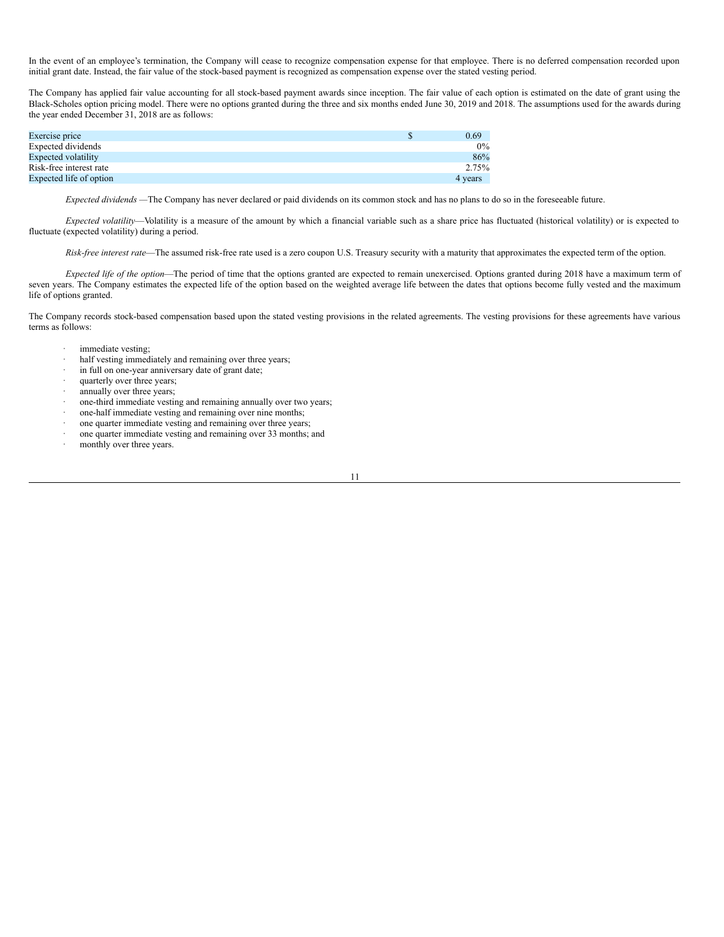In the event of an employee's termination, the Company will cease to recognize compensation expense for that employee. There is no deferred compensation recorded upon initial grant date. Instead, the fair value of the stock-based payment is recognized as compensation expense over the stated vesting period.

The Company has applied fair value accounting for all stock-based payment awards since inception. The fair value of each option is estimated on the date of grant using the Black-Scholes option pricing model. There were no options granted during the three and six months ended June 30, 2019 and 2018. The assumptions used for the awards during the year ended December 31, 2018 are as follows:

| Exercise price             | 0.69    |
|----------------------------|---------|
| Expected dividends         | $0\%$   |
| <b>Expected volatility</b> | 86%     |
| Risk-free interest rate    | 2.75%   |
| Expected life of option    | 4 years |

*Expected dividends —*The Company has never declared or paid dividends on its common stock and has no plans to do so in the foreseeable future.

*Expected volatility*—Volatility is a measure of the amount by which a financial variable such as a share price has fluctuated (historical volatility) or is expected to fluctuate (expected volatility) during a period.

*Risk-free interest rate*—The assumed risk-free rate used is a zero coupon U.S. Treasury security with a maturity that approximates the expected term of the option.

*Expected life of the option*—The period of time that the options granted are expected to remain unexercised. Options granted during 2018 have a maximum term of seven years. The Company estimates the expected life of the option based on the weighted average life between the dates that options become fully vested and the maximum life of options granted.

The Company records stock-based compensation based upon the stated vesting provisions in the related agreements. The vesting provisions for these agreements have various terms as follows:

- immediate vesting;
- · half vesting immediately and remaining over three years;
- in full on one-year anniversary date of grant date;
- · quarterly over three years;
- annually over three years;
- one-third immediate vesting and remaining annually over two years;
- one-half immediate vesting and remaining over nine months;
- one quarter immediate vesting and remaining over three years;
- · one quarter immediate vesting and remaining over 33 months; and
- monthly over three years.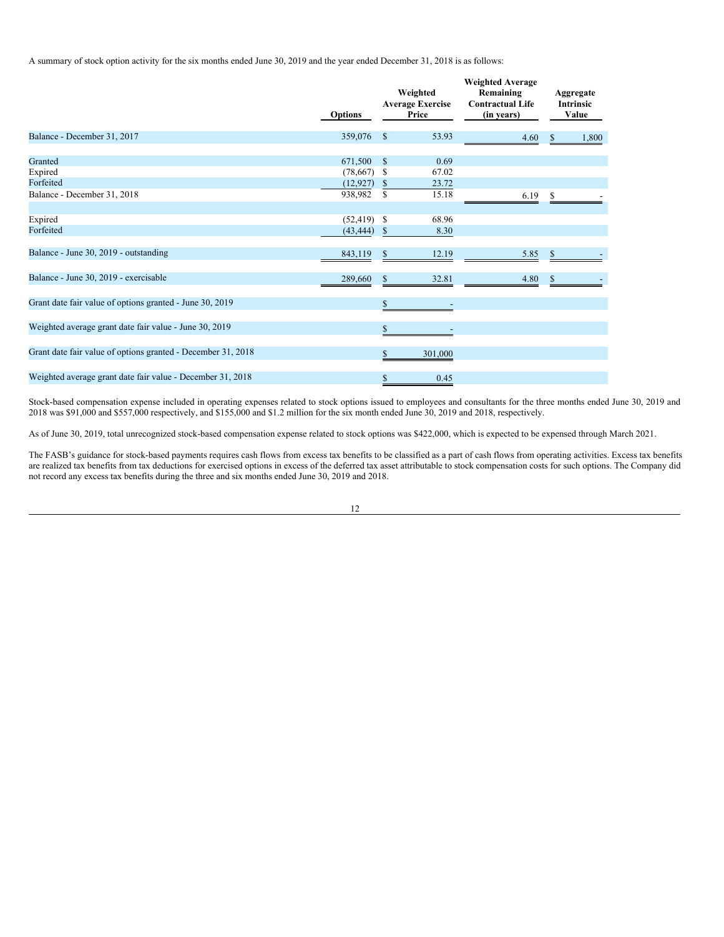A summary of stock option activity for the six months ended June 30, 2019 and the year ended December 31, 2018 is as follows:

|                                                              | <b>Options</b>              |               | Weighted<br><b>Average Exercise</b><br>Price | <b>Weighted Average</b><br>Remaining<br><b>Contractual Life</b><br>(in years) |              | Aggregate<br><b>Intrinsic</b><br>Value |
|--------------------------------------------------------------|-----------------------------|---------------|----------------------------------------------|-------------------------------------------------------------------------------|--------------|----------------------------------------|
| Balance - December 31, 2017                                  | 359,076                     | <b>S</b>      | 53.93                                        | 4.60                                                                          |              | 1,800                                  |
| Granted                                                      | 671,500                     | $\mathbb{S}$  | 0.69<br>67.02                                |                                                                               |              |                                        |
| Expired<br>Forfeited                                         | (78, 667)<br>(12, 927)      | S<br>\$       | 23.72                                        |                                                                               |              |                                        |
| Balance - December 31, 2018                                  | 938,982                     | S             | 15.18                                        | 6.19                                                                          |              |                                        |
| Expired<br>Forfeited                                         | $(52, 419)$ \$<br>(43, 444) | <sup>\$</sup> | 68.96<br>8.30                                |                                                                               |              |                                        |
| Balance - June 30, 2019 - outstanding                        | 843,119                     | \$            | 12.19                                        | 5.85                                                                          | \$           |                                        |
| Balance - June 30, 2019 - exercisable                        | 289,660                     | \$            | 32.81                                        | 4.80                                                                          | $\mathbb{S}$ |                                        |
| Grant date fair value of options granted - June 30, 2019     |                             | \$            |                                              |                                                                               |              |                                        |
| Weighted average grant date fair value - June 30, 2019       |                             | \$            |                                              |                                                                               |              |                                        |
| Grant date fair value of options granted - December 31, 2018 |                             | \$            | 301,000                                      |                                                                               |              |                                        |
| Weighted average grant date fair value - December 31, 2018   |                             | \$            | 0.45                                         |                                                                               |              |                                        |

Stock-based compensation expense included in operating expenses related to stock options issued to employees and consultants for the three months ended June 30, 2019 and 2018 was \$91,000 and \$557,000 respectively, and \$155,000 and \$1.2 million for the six month ended June 30, 2019 and 2018, respectively.

As of June 30, 2019, total unrecognized stock-based compensation expense related to stock options was \$422,000, which is expected to be expensed through March 2021.

The FASB's guidance for stock-based payments requires cash flows from excess tax benefits to be classified as a part of cash flows from operating activities. Excess tax benefits are realized tax benefits from tax deductions for exercised options in excess of the deferred tax asset attributable to stock compensation costs for such options. The Company did not record any excess tax benefits during the three and six months ended June 30, 2019 and 2018.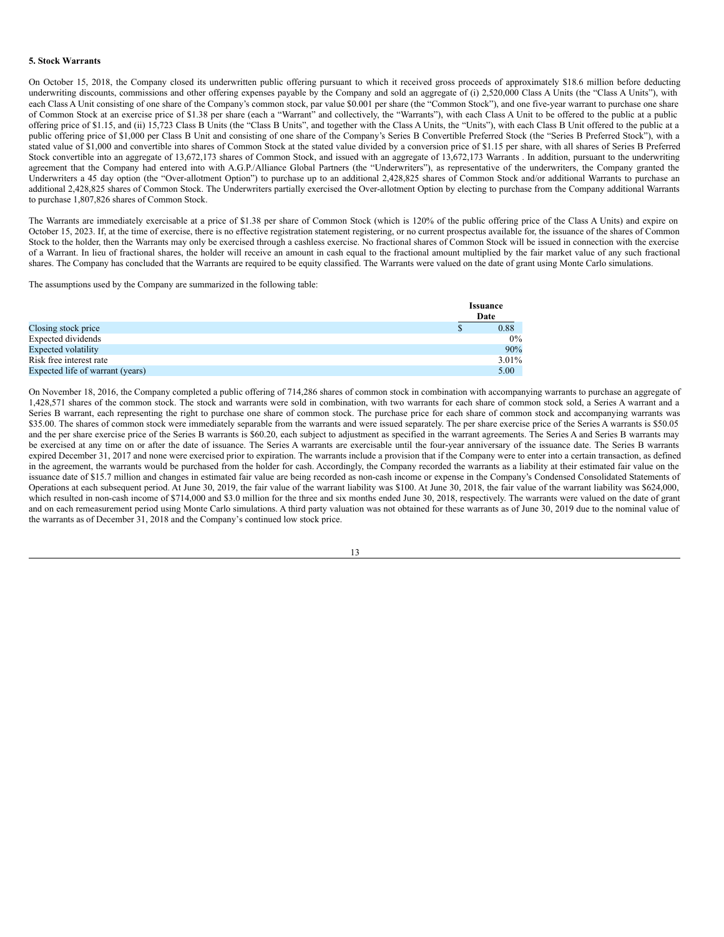#### **5. Stock Warrants**

On October 15, 2018, the Company closed its underwritten public offering pursuant to which it received gross proceeds of approximately \$18.6 million before deducting underwriting discounts, commissions and other offering expenses payable by the Company and sold an aggregate of (i) 2,520,000 Class A Units (the "Class A Units"), with each Class A Unit consisting of one share of the Company's common stock, par value \$0.001 per share (the "Common Stock"), and one five-year warrant to purchase one share of Common Stock at an exercise price of \$1.38 per share (each a "Warrant" and collectively, the "Warrants"), with each Class A Unit to be offered to the public at a public offering price of \$1.15, and (ii) 15,723 Class B Units (the "Class B Units", and together with the Class A Units, the "Units"), with each Class B Unit offered to the public at a public offering price of \$1,000 per Class B Unit and consisting of one share of the Company's Series B Convertible Preferred Stock (the "Series B Preferred Stock"), with a stated value of \$1,000 and convertible into shares of Common Stock at the stated value divided by a conversion price of \$1.15 per share, with all shares of Series B Preferred Stock convertible into an aggregate of 13,672,173 shares of Common Stock, and issued with an aggregate of 13,672,173 Warrants . In addition, pursuant to the underwriting agreement that the Company had entered into with A.G.P./Alliance Global Partners (the "Underwriters"), as representative of the underwriters, the Company granted the Underwriters a 45 day option (the "Over-allotment Option") to purchase up to an additional 2,428,825 shares of Common Stock and/or additional Warrants to purchase an additional 2,428,825 shares of Common Stock. The Underwriters partially exercised the Over-allotment Option by electing to purchase from the Company additional Warrants to purchase 1,807,826 shares of Common Stock.

The Warrants are immediately exercisable at a price of \$1.38 per share of Common Stock (which is 120% of the public offering price of the Class A Units) and expire on October 15, 2023. If, at the time of exercise, there is no effective registration statement registering, or no current prospectus available for, the issuance of the shares of Common Stock to the holder, then the Warrants may only be exercised through a cashless exercise. No fractional shares of Common Stock will be issued in connection with the exercise of a Warrant. In lieu of fractional shares, the holder will receive an amount in cash equal to the fractional amount multiplied by the fair market value of any such fractional shares. The Company has concluded that the Warrants are required to be equity classified. The Warrants were valued on the date of grant using Monte Carlo simulations.

The assumptions used by the Company are summarized in the following table:

|                                  | <b>Issuance</b> |
|----------------------------------|-----------------|
|                                  | Date            |
| Closing stock price              | 0.88            |
| Expected dividends               | $0\%$           |
| <b>Expected volatility</b>       | 90%             |
| Risk free interest rate          | 3.01%           |
| Expected life of warrant (years) | 5.00            |

On November 18, 2016, the Company completed a public offering of 714,286 shares of common stock in combination with accompanying warrants to purchase an aggregate of 1,428,571 shares of the common stock. The stock and warrants were sold in combination, with two warrants for each share of common stock sold, a Series A warrant and a Series B warrant, each representing the right to purchase one share of common stock. The purchase price for each share of common stock and accompanying warrants was \$35.00. The shares of common stock were immediately separable from the warrants and were issued separately. The per share exercise price of the Series A warrants is \$50.05 and the per share exercise price of the Series B warrants is \$60.20, each subject to adjustment as specified in the warrant agreements. The Series A and Series B warrants may be exercised at any time on or after the date of issuance. The Series A warrants are exercisable until the four-year anniversary of the issuance date. The Series B warrants expired December 31, 2017 and none were exercised prior to expiration. The warrants include a provision that if the Company were to enter into a certain transaction, as defined in the agreement, the warrants would be purchased from the holder for cash. Accordingly, the Company recorded the warrants as a liability at their estimated fair value on the issuance date of \$15.7 million and changes in estimated fair value are being recorded as non-cash income or expense in the Company's Condensed Consolidated Statements of Operations at each subsequent period. At June 30, 2019, the fair value of the warrant liability was \$100. At June 30, 2018, the fair value of the warrant liability was \$624,000, which resulted in non-cash income of \$714,000 and \$3.0 million for the three and six months ended June 30, 2018, respectively. The warrants were valued on the date of grant and on each remeasurement period using Monte Carlo simulations. A third party valuation was not obtained for these warrants as of June 30, 2019 due to the nominal value of the warrants as of December 31, 2018 and the Company's continued low stock price.

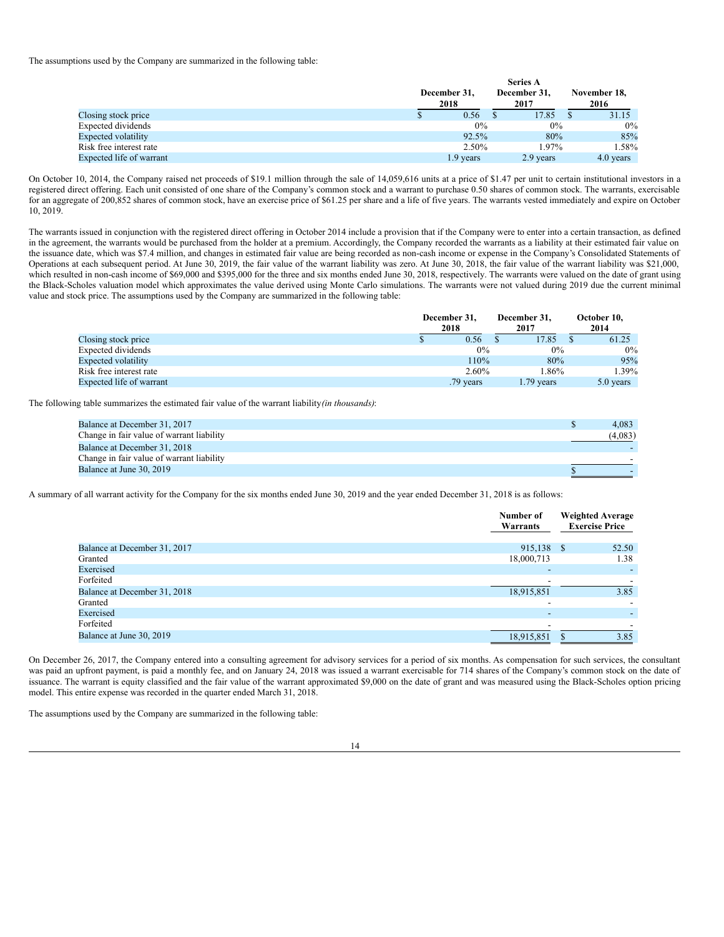The assumptions used by the Company are summarized in the following table:

|                           | <b>Series A</b> |  |              |  |              |  |  |  |  |
|---------------------------|-----------------|--|--------------|--|--------------|--|--|--|--|
|                           | December 31,    |  | December 31, |  | November 18, |  |  |  |  |
|                           | 2018            |  | 2017         |  | 2016         |  |  |  |  |
| Closing stock price       | 0.56            |  | 17.85        |  | 31.15        |  |  |  |  |
| <b>Expected dividends</b> | $0\%$           |  | $0\%$        |  | $0\%$        |  |  |  |  |
| Expected volatility       | 92.5%           |  | 80%          |  | 85%          |  |  |  |  |
| Risk free interest rate   | 2.50%           |  | 1.97%        |  | 1.58%        |  |  |  |  |
| Expected life of warrant  | 1.9 years       |  | 2.9 years    |  | 4.0 years    |  |  |  |  |

On October 10, 2014, the Company raised net proceeds of \$19.1 million through the sale of 14,059,616 units at a price of \$1.47 per unit to certain institutional investors in a registered direct offering. Each unit consisted of one share of the Company's common stock and a warrant to purchase 0.50 shares of common stock. The warrants, exercisable for an aggregate of 200,852 shares of common stock, have an exercise price of \$61.25 per share and a life of five years. The warrants vested immediately and expire on October 10, 2019.

The warrants issued in conjunction with the registered direct offering in October 2014 include a provision that if the Company were to enter into a certain transaction, as defined in the agreement, the warrants would be purchased from the holder at a premium. Accordingly, the Company recorded the warrants as a liability at their estimated fair value on the issuance date, which was \$7.4 million, and changes in estimated fair value are being recorded as non-cash income or expense in the Company's Consolidated Statements of Operations at each subsequent period. At June 30, 2019, the fair value of the warrant liability was zero. At June 30, 2018, the fair value of the warrant liability was \$21,000, which resulted in non-cash income of \$69,000 and \$395,000 for the three and six months ended June 30, 2018, respectively. The warrants were valued on the date of grant using the Black-Scholes valuation model which approximates the value derived using Monte Carlo simulations. The warrants were not valued during 2019 due the current minimal value and stock price. The assumptions used by the Company are summarized in the following table:

|                            | December 31,<br>2018 | December 31.<br>2017 | October 10,<br>2014 |           |
|----------------------------|----------------------|----------------------|---------------------|-----------|
| Closing stock price        | 0.56                 | 17.85                |                     | 61.25     |
| Expected dividends         | 0%                   | $0\%$                |                     | $0\%$     |
| <b>Expected volatility</b> | 110%                 | 80%                  |                     | 95%       |
| Risk free interest rate    | 2.60%                | 1.86%                |                     | 1.39%     |
| Expected life of warrant   | .79 years            | $1.79$ years         |                     | 5.0 years |

The following table summarizes the estimated fair value of the warrant liability*(in thousands)*:

| Balance at December 31, 2017              | 4.083   |
|-------------------------------------------|---------|
| Change in fair value of warrant liability | (4.083) |
| Balance at December 31, 2018              |         |
| Change in fair value of warrant liability |         |
| Balance at June 30, 2019                  |         |

A summary of all warrant activity for the Company for the six months ended June 30, 2019 and the year ended December 31, 2018 is as follows:

|                              | Number of<br>Warrants    | <b>Weighted Average</b><br><b>Exercise Price</b> |
|------------------------------|--------------------------|--------------------------------------------------|
| Balance at December 31, 2017 | 915,138 \$               | 52.50                                            |
| Granted                      | 18,000,713               | 1.38                                             |
| Exercised                    | $\overline{\phantom{a}}$ |                                                  |
| Forfeited                    |                          |                                                  |
| Balance at December 31, 2018 | 18,915,851               | 3.85                                             |
| Granted                      |                          |                                                  |
| Exercised                    | $\overline{\phantom{0}}$ |                                                  |
| Forfeited                    |                          |                                                  |
| Balance at June 30, 2019     | 18,915,851               | 3.85                                             |

On December 26, 2017, the Company entered into a consulting agreement for advisory services for a period of six months. As compensation for such services, the consultant was paid an upfront payment, is paid a monthly fee, and on January 24, 2018 was issued a warrant exercisable for 714 shares of the Company's common stock on the date of issuance. The warrant is equity classified and the fair value of the warrant approximated \$9,000 on the date of grant and was measured using the Black-Scholes option pricing model. This entire expense was recorded in the quarter ended March 31, 2018.

The assumptions used by the Company are summarized in the following table: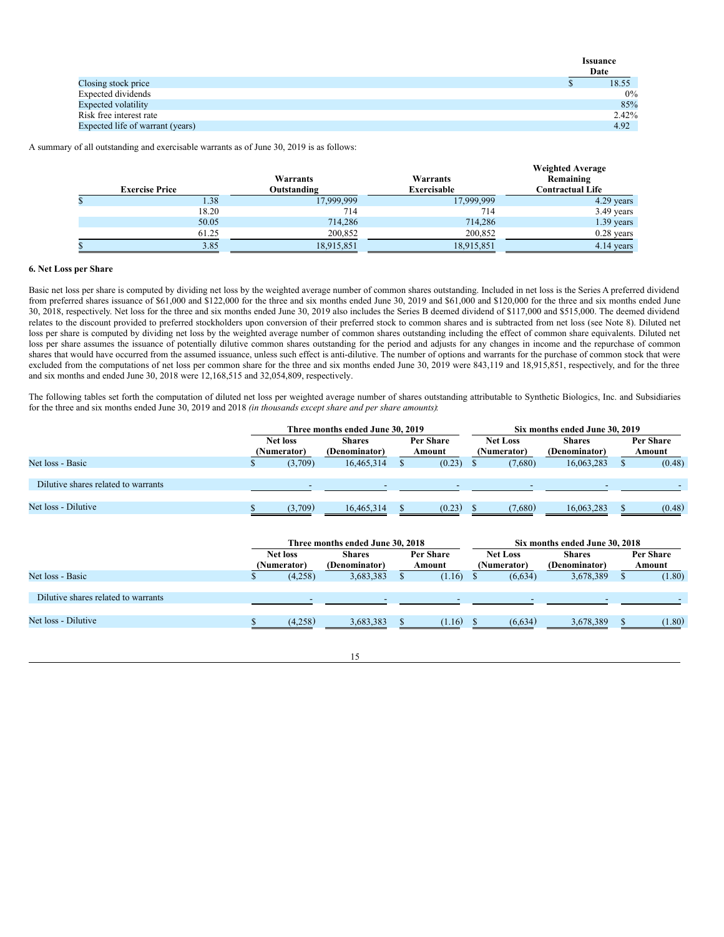|                                  | <b>Issuance</b> |
|----------------------------------|-----------------|
|                                  | Date            |
| Closing stock price              | 18.55           |
| Expected dividends               | $0\%$           |
| <b>Expected volatility</b>       | 85%             |
| Risk free interest rate          | 2.42%           |
| Expected life of warrant (years) | 4.92            |

A summary of all outstanding and exercisable warrants as of June 30, 2019 is as follows:

|   | <b>Exercise Price</b> | Warrants<br>Outstanding | Warrants<br><b>Exercisable</b> | <b>Weighted Average</b><br>Remaining<br><b>Contractual Life</b> |
|---|-----------------------|-------------------------|--------------------------------|-----------------------------------------------------------------|
| Ф | 1.38                  | 17,999,999              | 17,999,999                     | 4.29 years                                                      |
|   | 18.20                 | 714                     | 714                            | $3.49$ years                                                    |
|   | 50.05                 | 714,286                 | 714,286                        | $1.39$ years                                                    |
|   | 61.25                 | 200,852                 | 200,852                        | $0.28$ years                                                    |
|   | 3.85                  | 18,915,851              | 18,915,851                     | 4.14 years                                                      |

### **6. Net Loss per Share**

Basic net loss per share is computed by dividing net loss by the weighted average number of common shares outstanding. Included in net loss is the Series A preferred dividend from preferred shares issuance of \$61,000 and \$122,000 for the three and six months ended June 30, 2019 and \$61,000 and \$120,000 for the three and six months ended June 30, 2018, respectively. Net loss for the three and six months ended June 30, 2019 also includes the Series B deemed dividend of \$117,000 and \$515,000. The deemed dividend relates to the discount provided to preferred stockholders upon conversion of their preferred stock to common shares and is subtracted from net loss (see Note 8). Diluted net loss per share is computed by dividing net loss by the weighted average number of common shares outstanding including the effect of common share equivalents. Diluted net loss per share assumes the issuance of potentially dilutive common shares outstanding for the period and adjusts for any changes in income and the repurchase of common shares that would have occurred from the assumed issuance, unless such effect is anti-dilutive. The number of options and warrants for the purchase of common stock that were excluded from the computations of net loss per common share for the three and six months ended June 30, 2019 were 843,119 and 18,915,851, respectively, and for the three and six months and ended June 30, 2018 were 12,168,515 and 32,054,809, respectively.

The following tables set forth the computation of diluted net loss per weighted average number of shares outstanding attributable to Synthetic Biologics, Inc. and Subsidiaries for the three and six months ended June 30, 2019 and 2018 *(in thousands except share and per share amounts)*:

|                                     | Three months ended June 30, 2019 |                          |               |                 | Six months ended June 30, 2019 |                   |         |               |  |        |  |
|-------------------------------------|----------------------------------|--------------------------|---------------|-----------------|--------------------------------|-------------------|---------|---------------|--|--------|--|
|                                     | <b>Net loss</b><br><b>Shares</b> |                          | Per Share     | <b>Net Loss</b> |                                | <b>Shares</b>     |         | Per Share     |  |        |  |
|                                     |                                  | (Numerator)              | (Denominator) |                 | Amount                         | <b>Numerator)</b> |         | (Denominator) |  | Amount |  |
| Net loss - Basic                    |                                  | (3,709)                  | 16.465.314    |                 | (0.23)                         |                   | (7,680) | 16,063,283    |  | (0.48) |  |
|                                     |                                  |                          |               |                 |                                |                   |         |               |  |        |  |
| Dilutive shares related to warrants |                                  | $\overline{\phantom{a}}$ |               |                 |                                |                   | -       |               |  |        |  |
|                                     |                                  |                          |               |                 |                                |                   |         |               |  |        |  |
| Net loss - Dilutive                 |                                  | (3.709)                  | 16.465.314    |                 | (0.23)                         |                   | (7.680) | 16,063,283    |  | (0.48) |  |

|                                     | Three months ended June 30, 2018 |                                |  |                     | Six months ended June 30, 2018 |                                |                                |  |                     |
|-------------------------------------|----------------------------------|--------------------------------|--|---------------------|--------------------------------|--------------------------------|--------------------------------|--|---------------------|
|                                     | <b>Net loss</b><br>(Numerator)   | <b>Shares</b><br>(Denominator) |  | Per Share<br>Amount |                                | <b>Net Loss</b><br>(Numerator) | <b>Shares</b><br>(Denominator) |  | Per Share<br>Amount |
| Net loss - Basic                    | (4,258)                          | 3,683,383                      |  | (1.16)              |                                | (6, 634)                       | 3,678,389                      |  | (1.80)              |
| Dilutive shares related to warrants | $\overline{\phantom{0}}$         |                                |  |                     |                                | $\overline{\phantom{a}}$       |                                |  |                     |
| Net loss - Dilutive                 | (4,258)                          | 3,683,383                      |  | (1.16)              |                                | (6,634)                        | 3,678,389                      |  | (1.80)              |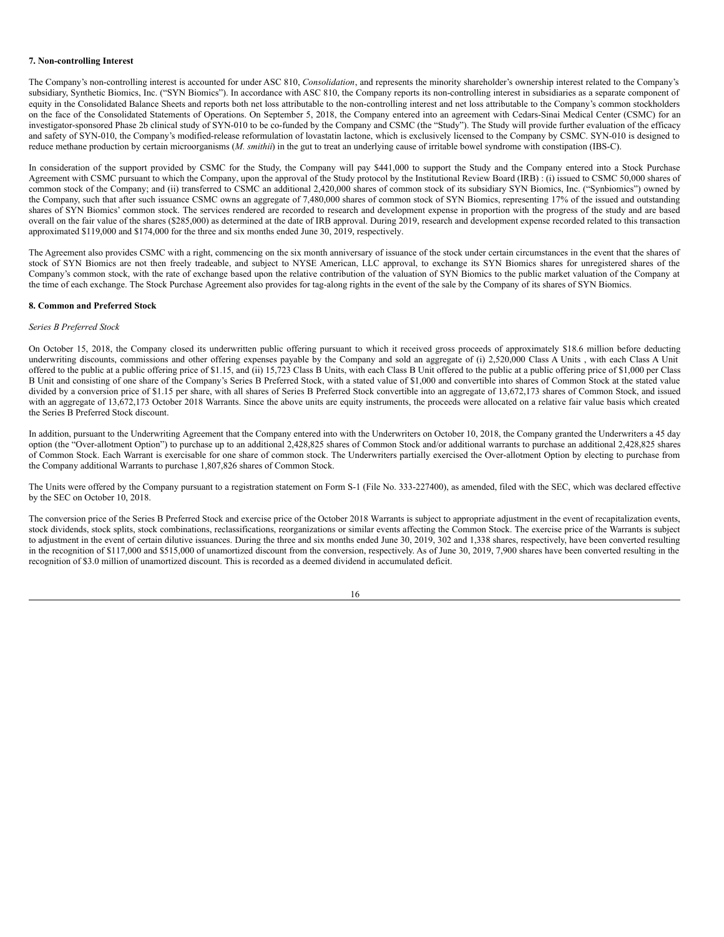### **7. Non-controlling Interest**

The Company's non-controlling interest is accounted for under ASC 810, *Consolidation*, and represents the minority shareholder's ownership interest related to the Company's subsidiary, Synthetic Biomics, Inc. ("SYN Biomics"). In accordance with ASC 810, the Company reports its non-controlling interest in subsidiaries as a separate component of equity in the Consolidated Balance Sheets and reports both net loss attributable to the non-controlling interest and net loss attributable to the Company's common stockholders on the face of the Consolidated Statements of Operations. On September 5, 2018, the Company entered into an agreement with Cedars-Sinai Medical Center (CSMC) for an investigator-sponsored Phase 2b clinical study of SYN-010 to be co-funded by the Company and CSMC (the "Study"). The Study will provide further evaluation of the efficacy and safety of SYN-010, the Company's modified-release reformulation of lovastatin lactone, which is exclusively licensed to the Company by CSMC. SYN-010 is designed to reduce methane production by certain microorganisms (*M. smithii*) in the gut to treat an underlying cause of irritable bowel syndrome with constipation (IBS-C).

In consideration of the support provided by CSMC for the Study, the Company will pay \$441,000 to support the Study and the Company entered into a Stock Purchase Agreement with CSMC pursuant to which the Company, upon the approval of the Study protocol by the Institutional Review Board (IRB) : (i) issued to CSMC 50,000 shares of common stock of the Company; and (ii) transferred to CSMC an additional 2,420,000 shares of common stock of its subsidiary SYN Biomics, Inc. ("Synbiomics") owned by the Company, such that after such issuance CSMC owns an aggregate of 7,480,000 shares of common stock of SYN Biomics, representing 17% of the issued and outstanding shares of SYN Biomics' common stock. The services rendered are recorded to research and development expense in proportion with the progress of the study and are based overall on the fair value of the shares (\$285,000) as determined at the date of IRB approval. During 2019, research and development expense recorded related to this transaction approximated \$119,000 and \$174,000 for the three and six months ended June 30, 2019, respectively.

The Agreement also provides CSMC with a right, commencing on the six month anniversary of issuance of the stock under certain circumstances in the event that the shares of stock of SYN Biomics are not then freely tradeable, and subject to NYSE American, LLC approval, to exchange its SYN Biomics shares for unregistered shares of the Company's common stock, with the rate of exchange based upon the relative contribution of the valuation of SYN Biomics to the public market valuation of the Company at the time of each exchange. The Stock Purchase Agreement also provides for tag-along rights in the event of the sale by the Company of its shares of SYN Biomics.

## **8. Common and Preferred Stock**

#### *Series B Preferred Stock*

On October 15, 2018, the Company closed its underwritten public offering pursuant to which it received gross proceeds of approximately \$18.6 million before deducting underwriting discounts, commissions and other offering expenses payable by the Company and sold an aggregate of (i) 2,520,000 Class A Units , with each Class A Unit offered to the public at a public offering price of \$1.15, and (ii) 15,723 Class B Units, with each Class B Unit offered to the public at a public offering price of \$1,000 per Class B Unit and consisting of one share of the Company's Series B Preferred Stock, with a stated value of \$1,000 and convertible into shares of Common Stock at the stated value divided by a conversion price of \$1.15 per share, with all shares of Series B Preferred Stock convertible into an aggregate of 13,672,173 shares of Common Stock, and issued with an aggregate of 13,672,173 October 2018 Warrants. Since the above units are equity instruments, the proceeds were allocated on a relative fair value basis which created the Series B Preferred Stock discount.

In addition, pursuant to the Underwriting Agreement that the Company entered into with the Underwriters on October 10, 2018, the Company granted the Underwriters a 45 day option (the "Over-allotment Option") to purchase up to an additional 2,428,825 shares of Common Stock and/or additional warrants to purchase an additional 2,428,825 shares of Common Stock. Each Warrant is exercisable for one share of common stock. The Underwriters partially exercised the Over-allotment Option by electing to purchase from the Company additional Warrants to purchase 1,807,826 shares of Common Stock.

The Units were offered by the Company pursuant to a registration statement on Form S-1 (File No. 333-227400), as amended, filed with the SEC, which was declared effective by the SEC on October 10, 2018.

The conversion price of the Series B Preferred Stock and exercise price of the October 2018 Warrants is subject to appropriate adjustment in the event of recapitalization events, stock dividends, stock splits, stock combinations, reclassifications, reorganizations or similar events affecting the Common Stock. The exercise price of the Warrants is subject to adjustment in the event of certain dilutive issuances. During the three and six months ended June 30, 2019, 302 and 1,338 shares, respectively, have been converted resulting in the recognition of \$117,000 and \$515,000 of unamortized discount from the conversion, respectively. As of June 30, 2019, 7,900 shares have been converted resulting in the recognition of \$3.0 million of unamortized discount. This is recorded as a deemed dividend in accumulated deficit.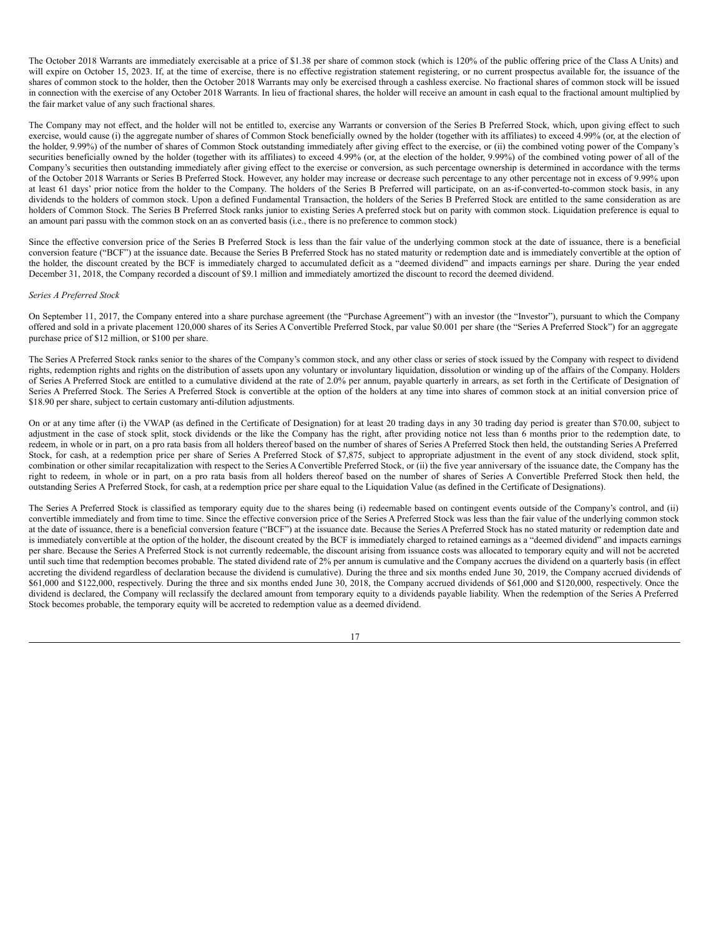The October 2018 Warrants are immediately exercisable at a price of \$1.38 per share of common stock (which is 120% of the public offering price of the Class A Units) and will expire on October 15, 2023. If, at the time of exercise, there is no effective registration statement registering, or no current prospectus available for, the issuance of the shares of common stock to the holder, then the October 2018 Warrants may only be exercised through a cashless exercise. No fractional shares of common stock will be issued in connection with the exercise of any October 2018 Warrants. In lieu of fractional shares, the holder will receive an amount in cash equal to the fractional amount multiplied by the fair market value of any such fractional shares.

The Company may not effect, and the holder will not be entitled to, exercise any Warrants or conversion of the Series B Preferred Stock, which, upon giving effect to such exercise, would cause (i) the aggregate number of shares of Common Stock beneficially owned by the holder (together with its affiliates) to exceed 4.99% (or, at the election of the holder, 9.99%) of the number of shares of Common Stock outstanding immediately after giving effect to the exercise, or (ii) the combined voting power of the Company's securities beneficially owned by the holder (together with its affiliates) to exceed 4.99% (or, at the election of the holder, 9.99%) of the combined voting power of all of the Company's securities then outstanding immediately after giving effect to the exercise or conversion, as such percentage ownership is determined in accordance with the terms of the October 2018 Warrants or Series B Preferred Stock. However, any holder may increase or decrease such percentage to any other percentage not in excess of 9.99% upon at least 61 days' prior notice from the holder to the Company. The holders of the Series B Preferred will participate, on an as-if-converted-to-common stock basis, in any dividends to the holders of common stock. Upon a defined Fundamental Transaction, the holders of the Series B Preferred Stock are entitled to the same consideration as are holders of Common Stock. The Series B Preferred Stock ranks junior to existing Series A preferred stock but on parity with common stock. Liquidation preference is equal to an amount pari passu with the common stock on an as converted basis (i.e., there is no preference to common stock)

Since the effective conversion price of the Series B Preferred Stock is less than the fair value of the underlying common stock at the date of issuance, there is a beneficial conversion feature ("BCF") at the issuance date. Because the Series B Preferred Stock has no stated maturity or redemption date and is immediately convertible at the option of the holder, the discount created by the BCF is immediately charged to accumulated deficit as a "deemed dividend" and impacts earnings per share. During the year ended December 31, 2018, the Company recorded a discount of \$9.1 million and immediately amortized the discount to record the deemed dividend.

#### *Series A Preferred Stock*

On September 11, 2017, the Company entered into a share purchase agreement (the "Purchase Agreement") with an investor (the "Investor"), pursuant to which the Company offered and sold in a private placement 120,000 shares of its Series A Convertible Preferred Stock, par value \$0.001 per share (the "Series A Preferred Stock") for an aggregate purchase price of \$12 million, or \$100 per share.

The Series A Preferred Stock ranks senior to the shares of the Company's common stock, and any other class or series of stock issued by the Company with respect to dividend rights, redemption rights and rights on the distribution of assets upon any voluntary or involuntary liquidation, dissolution or winding up of the affairs of the Company. Holders of Series A Preferred Stock are entitled to a cumulative dividend at the rate of 2.0% per annum, payable quarterly in arrears, as set forth in the Certificate of Designation of Series A Preferred Stock. The Series A Preferred Stock is convertible at the option of the holders at any time into shares of common stock at an initial conversion price of \$18.90 per share, subject to certain customary anti-dilution adjustments.

On or at any time after (i) the VWAP (as defined in the Certificate of Designation) for at least 20 trading days in any 30 trading day period is greater than \$70.00, subject to adjustment in the case of stock split, stock dividends or the like the Company has the right, after providing notice not less than 6 months prior to the redemption date, to redeem, in whole or in part, on a pro rata basis from all holders thereof based on the number of shares of Series A Preferred Stock then held, the outstanding Series A Preferred Stock, for cash, at a redemption price per share of Series A Preferred Stock of \$7,875, subject to appropriate adjustment in the event of any stock dividend, stock split, combination or other similar recapitalization with respect to the Series A Convertible Preferred Stock, or (ii) the five year anniversary of the issuance date, the Company has the right to redeem, in whole or in part, on a pro rata basis from all holders thereof based on the number of shares of Series A Convertible Preferred Stock then held, the outstanding Series A Preferred Stock, for cash, at a redemption price per share equal to the Liquidation Value (as defined in the Certificate of Designations).

The Series A Preferred Stock is classified as temporary equity due to the shares being (i) redeemable based on contingent events outside of the Company's control, and (ii) convertible immediately and from time to time. Since the effective conversion price of the Series A Preferred Stock was less than the fair value of the underlying common stock at the date of issuance, there is a beneficial conversion feature ("BCF") at the issuance date. Because the Series A Preferred Stock has no stated maturity or redemption date and is immediately convertible at the option of the holder, the discount created by the BCF is immediately charged to retained earnings as a "deemed dividend" and impacts earnings per share. Because the Series A Preferred Stock is not currently redeemable, the discount arising from issuance costs was allocated to temporary equity and will not be accreted until such time that redemption becomes probable. The stated dividend rate of 2% per annum is cumulative and the Company accrues the dividend on a quarterly basis (in effect accreting the dividend regardless of declaration because the dividend is cumulative). During the three and six months ended June 30, 2019, the Company accrued dividends of \$61,000 and \$122,000, respectively. During the three and six months ended June 30, 2018, the Company accrued dividends of \$61,000 and \$120,000, respectively. Once the dividend is declared, the Company will reclassify the declared amount from temporary equity to a dividends payable liability. When the redemption of the Series A Preferred Stock becomes probable, the temporary equity will be accreted to redemption value as a deemed dividend.

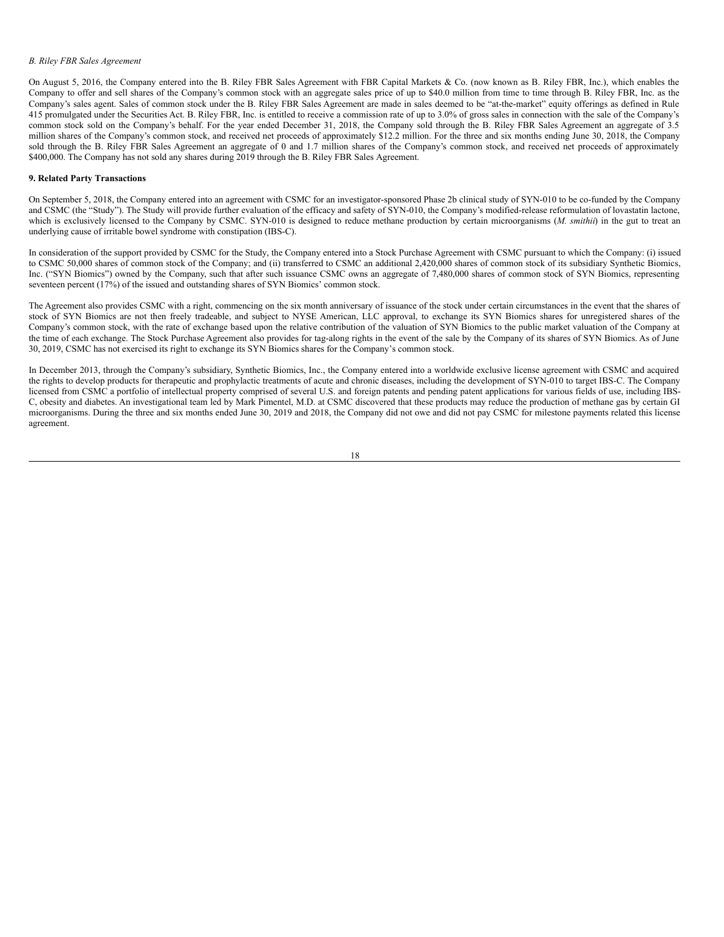# *B. Riley FBR Sales Agreement*

On August 5, 2016, the Company entered into the B. Riley FBR Sales Agreement with FBR Capital Markets & Co. (now known as B. Riley FBR, Inc.), which enables the Company to offer and sell shares of the Company's common stock with an aggregate sales price of up to \$40.0 million from time to time through B. Riley FBR, Inc. as the Company's sales agent. Sales of common stock under the B. Riley FBR Sales Agreement are made in sales deemed to be "at-the-market" equity offerings as defined in Rule 415 promulgated under the Securities Act. B. Riley FBR, Inc. is entitled to receive a commission rate of up to 3.0% of gross sales in connection with the sale of the Company's common stock sold on the Company's behalf. For the year ended December 31, 2018, the Company sold through the B. Riley FBR Sales Agreement an aggregate of 3.5 million shares of the Company's common stock, and received net proceeds of approximately \$12.2 million. For the three and six months ending June 30, 2018, the Company sold through the B. Riley FBR Sales Agreement an aggregate of 0 and 1.7 million shares of the Company's common stock, and received net proceeds of approximately \$400,000. The Company has not sold any shares during 2019 through the B. Riley FBR Sales Agreement.

### **9. Related Party Transactions**

On September 5, 2018, the Company entered into an agreement with CSMC for an investigator-sponsored Phase 2b clinical study of SYN-010 to be co-funded by the Company and CSMC (the "Study"). The Study will provide further evaluation of the efficacy and safety of SYN-010, the Company's modified-release reformulation of lovastatin lactone, which is exclusively licensed to the Company by CSMC. SYN-010 is designed to reduce methane production by certain microorganisms (*M. smithit*) in the gut to treat an underlying cause of irritable bowel syndrome with constipation (IBS-C).

In consideration of the support provided by CSMC for the Study, the Company entered into a Stock Purchase Agreement with CSMC pursuant to which the Company: (i) issued to CSMC 50,000 shares of common stock of the Company; and (ii) transferred to CSMC an additional 2,420,000 shares of common stock of its subsidiary Synthetic Biomics, Inc. ("SYN Biomics") owned by the Company, such that after such issuance CSMC owns an aggregate of 7,480,000 shares of common stock of SYN Biomics, representing seventeen percent (17%) of the issued and outstanding shares of SYN Biomics' common stock.

The Agreement also provides CSMC with a right, commencing on the six month anniversary of issuance of the stock under certain circumstances in the event that the shares of stock of SYN Biomics are not then freely tradeable, and subject to NYSE American, LLC approval, to exchange its SYN Biomics shares for unregistered shares of the Company's common stock, with the rate of exchange based upon the relative contribution of the valuation of SYN Biomics to the public market valuation of the Company at the time of each exchange. The Stock Purchase Agreement also provides for tag-along rights in the event of the sale by the Company of its shares of SYN Biomics. As of June 30, 2019, CSMC has not exercised its right to exchange its SYN Biomics shares for the Company's common stock.

In December 2013, through the Company's subsidiary, Synthetic Biomics, Inc., the Company entered into a worldwide exclusive license agreement with CSMC and acquired the rights to develop products for therapeutic and prophylactic treatments of acute and chronic diseases, including the development of SYN-010 to target IBS-C. The Company licensed from CSMC a portfolio of intellectual property comprised of several U.S. and foreign patents and pending patent applications for various fields of use, including IBS-C, obesity and diabetes. An investigational team led by Mark Pimentel, M.D. at CSMC discovered that these products may reduce the production of methane gas by certain GI microorganisms. During the three and six months ended June 30, 2019 and 2018, the Company did not owe and did not pay CSMC for milestone payments related this license agreement.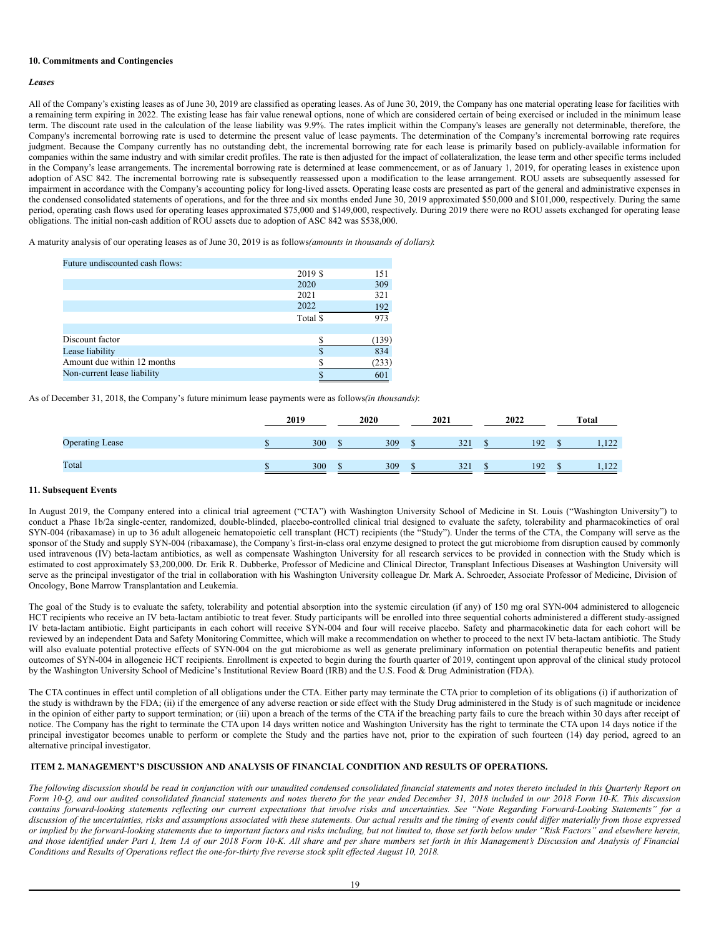## **10. Commitments and Contingencies**

# *Leases*

All of the Company's existing leases as of June 30, 2019 are classified as operating leases. As of June 30, 2019, the Company has one material operating lease for facilities with a remaining term expiring in 2022. The existing lease has fair value renewal options, none of which are considered certain of being exercised or included in the minimum lease term. The discount rate used in the calculation of the lease liability was 9.9%. The rates implicit within the Company's leases are generally not determinable, therefore, the Company's incremental borrowing rate is used to determine the present value of lease payments. The determination of the Company's incremental borrowing rate requires judgment. Because the Company currently has no outstanding debt, the incremental borrowing rate for each lease is primarily based on publicly-available information for companies within the same industry and with similar credit profiles. The rate is then adjusted for the impact of collateralization, the lease term and other specific terms included in the Company's lease arrangements. The incremental borrowing rate is determined at lease commencement, or as of January 1, 2019, for operating leases in existence upon adoption of ASC 842. The incremental borrowing rate is subsequently reassessed upon a modification to the lease arrangement. ROU assets are subsequently assessed for impairment in accordance with the Company's accounting policy for long-lived assets. Operating lease costs are presented as part of the general and administrative expenses in the condensed consolidated statements of operations, and for the three and six months ended June 30, 2019 approximated \$50,000 and \$101,000, respectively. During the same period, operating cash flows used for operating leases approximated \$75,000 and \$149,000, respectively. During 2019 there were no ROU assets exchanged for operating lease obligations. The initial non-cash addition of ROU assets due to adoption of ASC 842 was \$538,000.

A maturity analysis of our operating leases as of June 30, 2019 is as follows*(amounts in thousands of dollars)*:

| Future undiscounted cash flows: |          |       |
|---------------------------------|----------|-------|
|                                 | 2019 \$  | 151   |
|                                 | 2020     | 309   |
|                                 | 2021     | 321   |
|                                 | 2022     | 192   |
|                                 | Total \$ | 973   |
|                                 |          |       |
| Discount factor                 |          | (139) |
| Lease liability                 |          | 834   |
| Amount due within 12 months     |          | (233) |
| Non-current lease liability     |          | 601   |
|                                 |          |       |

As of December 31, 2018, the Company's future minimum lease payments were as follows*(in thousands)*:

|                        | 2019 |     | 2020 | 2021 | 2022 | Total |
|------------------------|------|-----|------|------|------|-------|
| <b>Operating Lease</b> |      | 300 | 309  | 321  | 192  | 1.122 |
| Total                  |      | 300 | 309  | 321  | 192  | 1,122 |

## **11. Subsequent Events**

In August 2019, the Company entered into a clinical trial agreement ("CTA") with Washington University School of Medicine in St. Louis ("Washington University") to conduct a Phase 1b/2a single-center, randomized, double-blinded, placebo-controlled clinical trial designed to evaluate the safety, tolerability and pharmacokinetics of oral SYN-004 (ribaxamase) in up to 36 adult allogeneic hematopoietic cell transplant (HCT) recipients (the "Study"). Under the terms of the CTA, the Company will serve as the sponsor of the Study and supply SYN-004 (ribaxamase), the Company's first-in-class oral enzyme designed to protect the gut microbiome from disruption caused by commonly used intravenous (IV) beta-lactam antibiotics, as well as compensate Washington University for all research services to be provided in connection with the Study which is estimated to cost approximately \$3,200,000. Dr. Erik R. Dubberke, Professor of Medicine and Clinical Director, Transplant Infectious Diseases at Washington University will serve as the principal investigator of the trial in collaboration with his Washington University colleague Dr. Mark A. Schroeder, Associate Professor of Medicine, Division of Oncology, Bone Marrow Transplantation and Leukemia.

The goal of the Study is to evaluate the safety, tolerability and potential absorption into the systemic circulation (if any) of 150 mg oral SYN-004 administered to allogeneic HCT recipients who receive an IV beta-lactam antibiotic to treat fever. Study participants will be enrolled into three sequential cohorts administered a different study-assigned IV beta-lactam antibiotic. Eight participants in each cohort will receive SYN-004 and four will receive placebo. Safety and pharmacokinetic data for each cohort will be reviewed by an independent Data and Safety Monitoring Committee, which will make a recommendation on whether to proceed to the next IV beta-lactam antibiotic. The Study will also evaluate potential protective effects of SYN-004 on the gut microbiome as well as generate preliminary information on potential therapeutic benefits and patient outcomes of SYN-004 in allogeneic HCT recipients. Enrollment is expected to begin during the fourth quarter of 2019, contingent upon approval of the clinical study protocol by the Washington University School of Medicine's Institutional Review Board (IRB) and the U.S. Food & Drug Administration (FDA).

The CTA continues in effect until completion of all obligations under the CTA. Either party may terminate the CTA prior to completion of its obligations (i) if authorization of the study is withdrawn by the FDA; (ii) if the emergence of any adverse reaction or side effect with the Study Drug administered in the Study is of such magnitude or incidence in the opinion of either party to support termination; or (iii) upon a breach of the terms of the CTA if the breaching party fails to cure the breach within 30 days after receipt of notice. The Company has the right to terminate the CTA upon 14 days written notice and Washington University has the right to terminate the CTA upon 14 days notice if the principal investigator becomes unable to perform or complete the Study and the parties have not, prior to the expiration of such fourteen (14) day period, agreed to an alternative principal investigator.

# <span id="page-19-0"></span>**ITEM 2. MANAGEMENT'S DISCUSSION AND ANALYSIS OF FINANCIAL CONDITION AND RESULTS OF OPERATIONS.**

The following discussion should be read in conjunction with our unaudited condensed consolidated financial statements and notes thereto included in this Quarterly Report on Form 10-Q, and our audited consolidated financial statements and notes thereto for the year ended December 31, 2018 included in our 2018 Form 10-K. This discussion contains forward-looking statements reflecting our current expectations that involve risks and uncertainties. See "Note Regarding Forward-Looking Statements" for a discussion of the uncertainties, risks and assumptions associated with these statements. Our actual results and the timing of events could differ materially from those expressed or implied by the forward-looking statements due to important factors and risks including, but not limited to, those set forth below under "Risk Factors" and elsewhere herein, and those identified under Part I, Item 1A of our 2018 Form 10-K. All share and per share numbers set forth in this Management's Discussion and Analysis of Financial Conditions and Results of Operations reflect the one-for-thirty five reverse stock split effected August 10, 2018.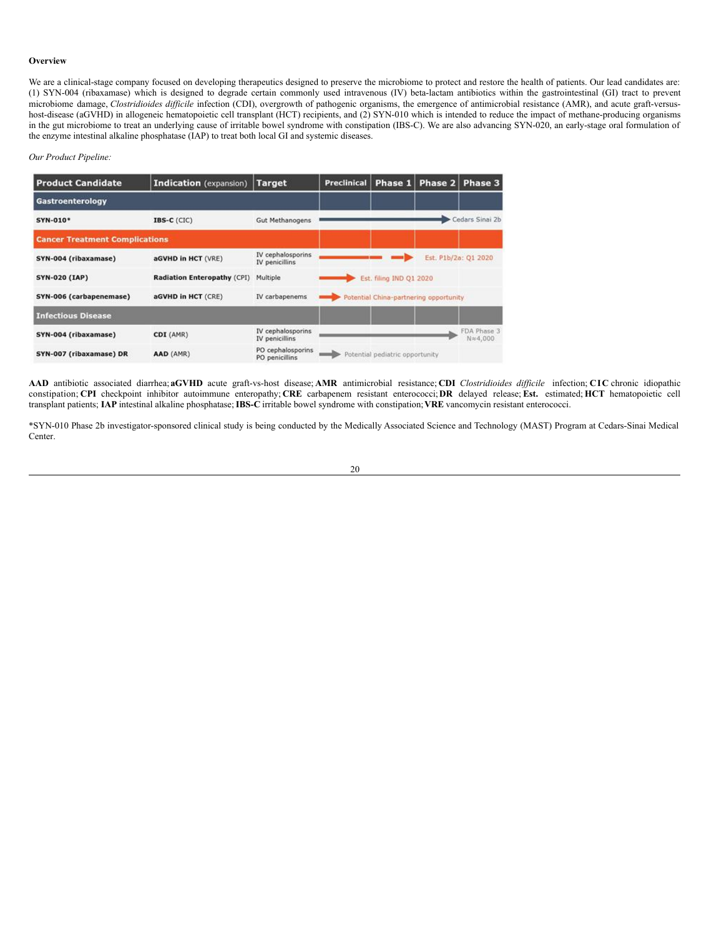# **Overview**

We are a clinical-stage company focused on developing therapeutics designed to preserve the microbiome to protect and restore the health of patients. Our lead candidates are: (1) SYN-004 (ribaxamase) which is designed to degrade certain commonly used intravenous (IV) beta-lactam antibiotics within the gastrointestinal (GI) tract to prevent microbiome damage, *Clostridioides difficile* infection (CDI), overgrowth of pathogenic organisms, the emergence of antimicrobial resistance (AMR), and acute graft-versushost-disease (aGVHD) in allogeneic hematopoietic cell transplant (HCT) recipients, and (2) SYN-010 which is intended to reduce the impact of methane-producing organisms in the gut microbiome to treat an underlying cause of irritable bowel syndrome with constipation (IBS-C). We are also advancing SYN-020, an early-stage oral formulation of the enzyme intestinal alkaline phosphatase (IAP) to treat both local GI and systemic diseases.

### *Our Product Pipeline:*

| <b>Product Candidate</b>              | Indication (expansion)             | <b>Target</b>                         | <b>Preclinical</b> | Phase 1                                | Phase 2 | <b>Phase 3</b>                   |
|---------------------------------------|------------------------------------|---------------------------------------|--------------------|----------------------------------------|---------|----------------------------------|
| Gastroenterology                      |                                    |                                       |                    |                                        |         |                                  |
| SYN-010*                              | IBS-C (CIC)                        | <b>Gut Methanogens</b>                |                    |                                        |         | Cedars Sinai 2b                  |
| <b>Cancer Treatment Complications</b> |                                    |                                       |                    |                                        |         |                                  |
| SYN-004 (ribaxamase)                  | aGVHD in HCT (VRE)                 | IV cephalosporins<br>IV penicillins   |                    |                                        |         | Est. P1b/2a: Q1 2020             |
| <b>SYN-020 (IAP)</b>                  | <b>Radiation Enteropathy (CPI)</b> | Multiple                              |                    | Est. filing IND 01 2020                |         |                                  |
| SYN-006 (carbapenemase)               | aGVHD in HCT (CRE)                 | IV carbapenems                        |                    | Potential China-partnering opportunity |         |                                  |
| <b>Infectious Disease</b>             |                                    |                                       |                    |                                        |         |                                  |
| SYN-004 (ribaxamase)                  | CDI (AMR)                          | IV cephalosporins<br>IV penicillins   |                    |                                        |         | FDA Phase 3<br>$N \approx 4,000$ |
| SYN-007 (ribaxamase) DR               | AAD (AMR)                          | PO cephalosporins<br>BO - - - LIBL- - |                    | Potential pediatric opportunity        |         |                                  |

**AAD** antibiotic associated diarrhea; **aGVHD** acute graft-vs-host disease; **AMR** antimicrobial resistance; **CDI** *Clostridioides dif icile* infection; **CIC** chronic idiopathic constipation; **CPI** checkpoint inhibitor autoimmune enteropathy; **CRE** carbapenem resistant enterococci;**DR** delayed release; **Est.** estimated; **HCT** hematopoietic cell transplant patients; **IAP** intestinal alkaline phosphatase;**IBS-C** irritable bowel syndrome with constipation;**VRE** vancomycin resistant enterococci.

\*SYN-010 Phase 2b investigator-sponsored clinical study is being conducted by the Medically Associated Science and Technology (MAST) Program at Cedars-Sinai Medical Center.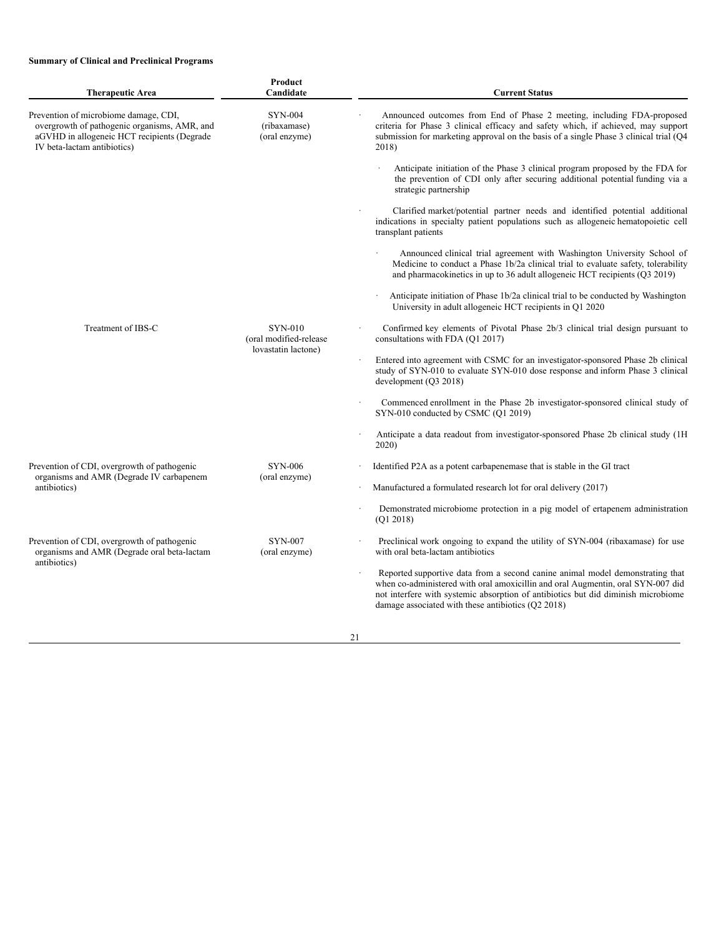# **Summary of Clinical and Preclinical Programs**

| <b>Therapeutic Area</b>                                                                                                                                             | Product<br>Candidate                                     | <b>Current Status</b>                                                                                                                                                                                                                                                                                       |
|---------------------------------------------------------------------------------------------------------------------------------------------------------------------|----------------------------------------------------------|-------------------------------------------------------------------------------------------------------------------------------------------------------------------------------------------------------------------------------------------------------------------------------------------------------------|
| Prevention of microbiome damage, CDI,<br>overgrowth of pathogenic organisms, AMR, and<br>aGVHD in allogeneic HCT recipients (Degrade<br>IV beta-lactam antibiotics) | <b>SYN-004</b><br>(ribaxamase)<br>(oral enzyme)          | Announced outcomes from End of Phase 2 meeting, including FDA-proposed<br>criteria for Phase 3 clinical efficacy and safety which, if achieved, may support<br>submission for marketing approval on the basis of a single Phase 3 clinical trial (Q4<br>2018)                                               |
|                                                                                                                                                                     |                                                          | Anticipate initiation of the Phase 3 clinical program proposed by the FDA for<br>the prevention of CDI only after securing additional potential funding via a<br>strategic partnership                                                                                                                      |
|                                                                                                                                                                     |                                                          | Clarified market/potential partner needs and identified potential additional<br>indications in specialty patient populations such as allogeneic hematopoietic cell<br>transplant patients                                                                                                                   |
|                                                                                                                                                                     |                                                          | Announced clinical trial agreement with Washington University School of<br>Medicine to conduct a Phase 1b/2a clinical trial to evaluate safety, tolerability<br>and pharmacokinetics in up to 36 adult allogeneic HCT recipients (Q3 2019)                                                                  |
|                                                                                                                                                                     |                                                          | Anticipate initiation of Phase 1b/2a clinical trial to be conducted by Washington<br>University in adult allogeneic HCT recipients in Q1 2020                                                                                                                                                               |
| Treatment of IBS-C                                                                                                                                                  | SYN-010<br>(oral modified-release<br>lovastatin lactone) | Confirmed key elements of Pivotal Phase 2b/3 clinical trial design pursuant to<br>consultations with FDA (Q1 2017)                                                                                                                                                                                          |
|                                                                                                                                                                     |                                                          | Entered into agreement with CSMC for an investigator-sponsored Phase 2b clinical<br>study of SYN-010 to evaluate SYN-010 dose response and inform Phase 3 clinical<br>development (Q3 2018)                                                                                                                 |
|                                                                                                                                                                     |                                                          | Commenced enrollment in the Phase 2b investigator-sponsored clinical study of<br>SYN-010 conducted by CSMC (Q1 2019)                                                                                                                                                                                        |
|                                                                                                                                                                     |                                                          | Anticipate a data readout from investigator-sponsored Phase 2b clinical study (1H)<br>2020)                                                                                                                                                                                                                 |
| Prevention of CDI, overgrowth of pathogenic<br>organisms and AMR (Degrade IV carbapenem<br>antibiotics)                                                             | <b>SYN-006</b>                                           | Identified P2A as a potent carbapenemase that is stable in the GI tract                                                                                                                                                                                                                                     |
|                                                                                                                                                                     | (oral enzyme)                                            | Manufactured a formulated research lot for oral delivery (2017)                                                                                                                                                                                                                                             |
|                                                                                                                                                                     |                                                          | Demonstrated microbiome protection in a pig model of ertapenem administration<br>(Q1 2018)                                                                                                                                                                                                                  |
| Prevention of CDI, overgrowth of pathogenic<br>organisms and AMR (Degrade oral beta-lactam                                                                          | <b>SYN-007</b><br>(oral enzyme)                          | Preclinical work ongoing to expand the utility of SYN-004 (ribaxamase) for use<br>with oral beta-lactam antibiotics                                                                                                                                                                                         |
| antibiotics)                                                                                                                                                        |                                                          | Reported supportive data from a second canine animal model demonstrating that<br>when co-administered with oral amoxicillin and oral Augmentin, oral SYN-007 did<br>not interfere with systemic absorption of antibiotics but did diminish microbiome<br>damage associated with these antibiotics (Q2 2018) |
|                                                                                                                                                                     |                                                          |                                                                                                                                                                                                                                                                                                             |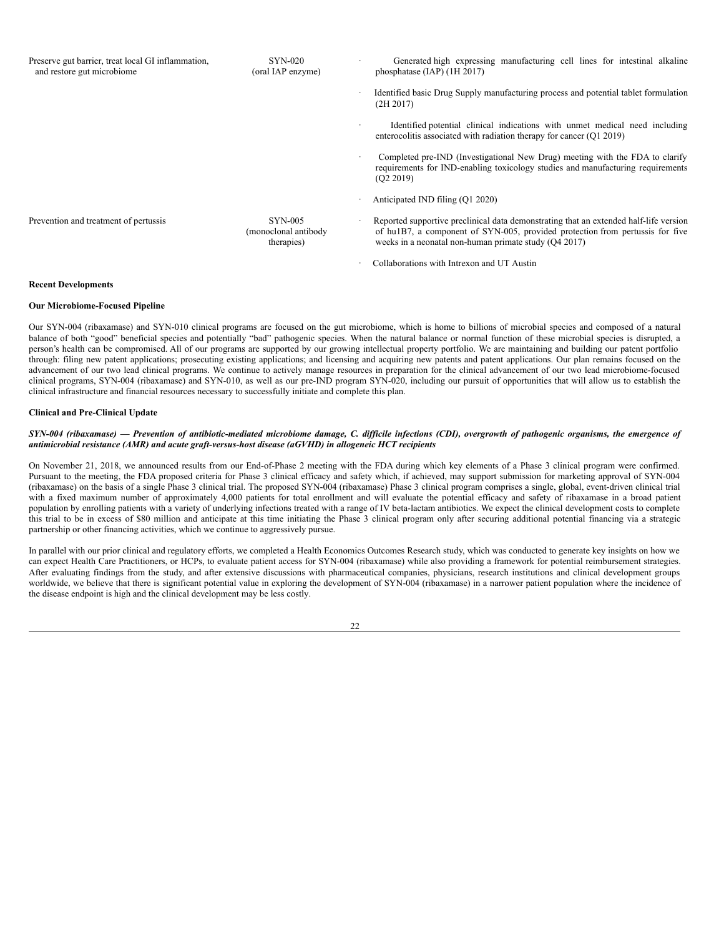| Preserve gut barrier, treat local GI inflammation,<br>and restore gut microbiome | <b>SYN-020</b><br>(oral IAP enzyme)                  | Generated high expressing manufacturing cell lines for intestinal alkaline<br>phosphatase $(IAP)$ $(1H 2017)$                                                                                                                   |
|----------------------------------------------------------------------------------|------------------------------------------------------|---------------------------------------------------------------------------------------------------------------------------------------------------------------------------------------------------------------------------------|
|                                                                                  |                                                      | Identified basic Drug Supply manufacturing process and potential tablet formulation<br>(2H 2017)                                                                                                                                |
|                                                                                  |                                                      | Identified potential clinical indications with unmet medical need including<br>enterocolitis associated with radiation therapy for cancer (Q1 2019)                                                                             |
|                                                                                  |                                                      | Completed pre-IND (Investigational New Drug) meeting with the FDA to clarify<br>requirements for IND-enabling toxicology studies and manufacturing requirements<br>(02 2019)                                                    |
|                                                                                  |                                                      | Anticipated IND filing (Q1 2020)                                                                                                                                                                                                |
| Prevention and treatment of pertussis                                            | <b>SYN-005</b><br>(monoclonal antibody<br>therapies) | Reported supportive preclinical data demonstrating that an extended half-life version<br>of hu1B7, a component of SYN-005, provided protection from pertussis for five<br>weeks in a neonatal non-human primate study (O4 2017) |
|                                                                                  |                                                      | Collaborations with Intrexon and UT Austin                                                                                                                                                                                      |

# **Recent Developments**

### **Our Microbiome-Focused Pipeline**

Our SYN-004 (ribaxamase) and SYN-010 clinical programs are focused on the gut microbiome, which is home to billions of microbial species and composed of a natural balance of both "good" beneficial species and potentially "bad" pathogenic species. When the natural balance or normal function of these microbial species is disrupted, a person's health can be compromised. All of our programs are supported by our growing intellectual property portfolio. We are maintaining and building our patent portfolio through: filing new patent applications; prosecuting existing applications; and licensing and acquiring new patents and patent applications. Our plan remains focused on the advancement of our two lead clinical programs. We continue to actively manage resources in preparation for the clinical advancement of our two lead microbiome-focused clinical programs, SYN-004 (ribaxamase) and SYN-010, as well as our pre-IND program SYN-020, including our pursuit of opportunities that will allow us to establish the clinical infrastructure and financial resources necessary to successfully initiate and complete this plan.

## **Clinical and Pre-Clinical Update**

### SYN-004 (ribaxamase) — Prevention of antibiotic-mediated microbiome damage, C. difficile infections (CDI), overgrowth of pathogenic organisms, the emergence of *antimicrobial resistance (AMR) and acute graft-versus-host disease (aGVHD) in allogeneic HCT recipients*

On November 21, 2018, we announced results from our End-of-Phase 2 meeting with the FDA during which key elements of a Phase 3 clinical program were confirmed. Pursuant to the meeting, the FDA proposed criteria for Phase 3 clinical efficacy and safety which, if achieved, may support submission for marketing approval of SYN-004 (ribaxamase) on the basis of a single Phase 3 clinical trial. The proposed SYN-004 (ribaxamase) Phase 3 clinical program comprises a single, global, event-driven clinical trial with a fixed maximum number of approximately 4,000 patients for total enrollment and will evaluate the potential efficacy and safety of ribaxamase in a broad patient population by enrolling patients with a variety of underlying infections treated with a range of IV beta-lactam antibiotics. We expect the clinical development costs to complete this trial to be in excess of \$80 million and anticipate at this time initiating the Phase 3 clinical program only after securing additional potential financing via a strategic partnership or other financing activities, which we continue to aggressively pursue.

In parallel with our prior clinical and regulatory efforts, we completed a Health Economics Outcomes Research study, which was conducted to generate key insights on how we can expect Health Care Practitioners, or HCPs, to evaluate patient access for SYN-004 (ribaxamase) while also providing a framework for potential reimbursement strategies. After evaluating findings from the study, and after extensive discussions with pharmaceutical companies, physicians, research institutions and clinical development groups worldwide, we believe that there is significant potential value in exploring the development of SYN-004 (ribaxamase) in a narrower patient population where the incidence of the disease endpoint is high and the clinical development may be less costly.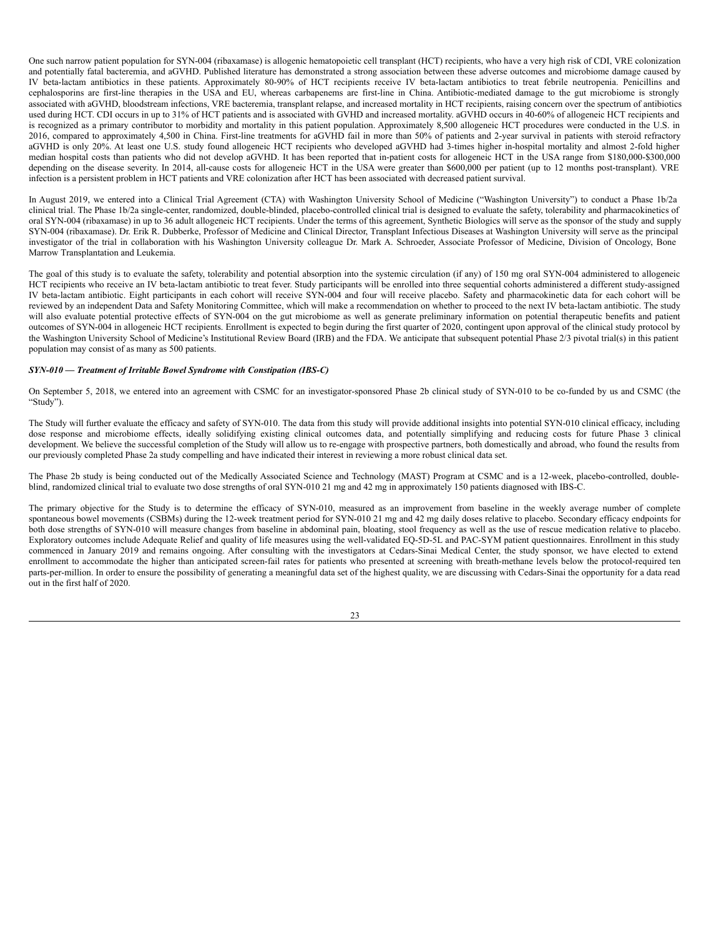One such narrow patient population for SYN-004 (ribaxamase) is allogenic hematopoietic cell transplant (HCT) recipients, who have a very high risk of CDI, VRE colonization and potentially fatal bacteremia, and aGVHD. Published literature has demonstrated a strong association between these adverse outcomes and microbiome damage caused by IV beta-lactam antibiotics in these patients. Approximately 80-90% of HCT recipients receive IV beta-lactam antibiotics to treat febrile neutropenia. Penicillins and cephalosporins are first-line therapies in the USA and EU, whereas carbapenems are first-line in China. Antibiotic-mediated damage to the gut microbiome is strongly associated with aGVHD, bloodstream infections, VRE bacteremia, transplant relapse, and increased mortality in HCT recipients, raising concern over the spectrum of antibiotics used during HCT. CDI occurs in up to 31% of HCT patients and is associated with GVHD and increased mortality. aGVHD occurs in 40-60% of allogeneic HCT recipients and is recognized as a primary contributor to morbidity and mortality in this patient population. Approximately 8,500 allogeneic HCT procedures were conducted in the U.S. in 2016, compared to approximately 4,500 in China. First-line treatments for aGVHD fail in more than 50% of patients and 2-year survival in patients with steroid refractory aGVHD is only 20%. At least one U.S. study found allogeneic HCT recipients who developed aGVHD had 3-times higher in-hospital mortality and almost 2-fold higher median hospital costs than patients who did not develop aGVHD. It has been reported that in-patient costs for allogeneic HCT in the USA range from \$180,000-\$300,000 depending on the disease severity. In 2014, all-cause costs for allogeneic HCT in the USA were greater than \$600,000 per patient (up to 12 months post-transplant). VRE infection is a persistent problem in HCT patients and VRE colonization after HCT has been associated with decreased patient survival.

In August 2019, we entered into a Clinical Trial Agreement (CTA) with Washington University School of Medicine ("Washington University") to conduct a Phase 1b/2a clinical trial. The Phase 1b/2a single-center, randomized, double-blinded, placebo-controlled clinical trial is designed to evaluate the safety, tolerability and pharmacokinetics of oral SYN-004 (ribaxamase) in up to 36 adult allogeneic HCT recipients. Under the terms of this agreement, Synthetic Biologics will serve as the sponsor of the study and supply SYN-004 (ribaxamase). Dr. Erik R. Dubberke, Professor of Medicine and Clinical Director, Transplant Infectious Diseases at Washington University will serve as the principal investigator of the trial in collaboration with his Washington University colleague Dr. Mark A. Schroeder, Associate Professor of Medicine, Division of Oncology, Bone Marrow Transplantation and Leukemia.

The goal of this study is to evaluate the safety, tolerability and potential absorption into the systemic circulation (if any) of 150 mg oral SYN-004 administered to allogeneic HCT recipients who receive an IV beta-lactam antibiotic to treat fever. Study participants will be enrolled into three sequential cohorts administered a different study-assigned IV beta-lactam antibiotic. Eight participants in each cohort will receive SYN-004 and four will receive placebo. Safety and pharmacokinetic data for each cohort will be reviewed by an independent Data and Safety Monitoring Committee, which will make a recommendation on whether to proceed to the next IV beta-lactam antibiotic. The study will also evaluate potential protective effects of SYN-004 on the gut microbiome as well as generate preliminary information on potential therapeutic benefits and patient outcomes of SYN-004 in allogeneic HCT recipients. Enrollment is expected to begin during the first quarter of 2020, contingent upon approval of the clinical study protocol by the Washington University School of Medicine's Institutional Review Board (IRB) and the FDA. We anticipate that subsequent potential Phase 2/3 pivotal trial(s) in this patient population may consist of as many as 500 patients.

# *SYN-010 — Treatment of Irritable Bowel Syndrome with Constipation (IBS-C)*

On September 5, 2018, we entered into an agreement with CSMC for an investigator-sponsored Phase 2b clinical study of SYN-010 to be co-funded by us and CSMC (the "Study").

The Study will further evaluate the efficacy and safety of SYN-010. The data from this study will provide additional insights into potential SYN-010 clinical efficacy, including dose response and microbiome effects, ideally solidifying existing clinical outcomes data, and potentially simplifying and reducing costs for future Phase 3 clinical development. We believe the successful completion of the Study will allow us to re-engage with prospective partners, both domestically and abroad, who found the results from our previously completed Phase 2a study compelling and have indicated their interest in reviewing a more robust clinical data set.

The Phase 2b study is being conducted out of the Medically Associated Science and Technology (MAST) Program at CSMC and is a 12-week, placebo-controlled, doubleblind, randomized clinical trial to evaluate two dose strengths of oral SYN-010 21 mg and 42 mg in approximately 150 patients diagnosed with IBS-C.

The primary objective for the Study is to determine the efficacy of SYN-010, measured as an improvement from baseline in the weekly average number of complete spontaneous bowel movements (CSBMs) during the 12-week treatment period for SYN-010 21 mg and 42 mg daily doses relative to placebo. Secondary efficacy endpoints for both dose strengths of SYN-010 will measure changes from baseline in abdominal pain, bloating, stool frequency as well as the use of rescue medication relative to placebo. Exploratory outcomes include Adequate Relief and quality of life measures using the well-validated EQ-5D-5L and PAC-SYM patient questionnaires. Enrollment in this study commenced in January 2019 and remains ongoing. After consulting with the investigators at Cedars-Sinai Medical Center, the study sponsor, we have elected to extend enrollment to accommodate the higher than anticipated screen-fail rates for patients who presented at screening with breath-methane levels below the protocol-required ten parts-per-million. In order to ensure the possibility of generating a meaningful data set of the highest quality, we are discussing with Cedars-Sinai the opportunity for a data read out in the first half of 2020.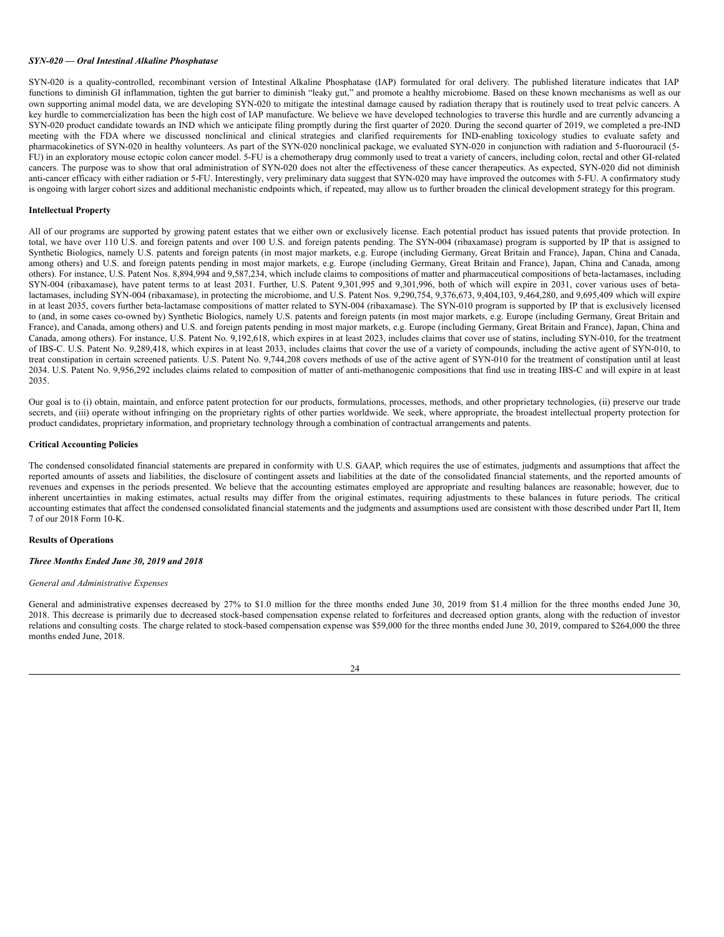### *SYN-020 — Oral Intestinal Alkaline Phosphatase*

SYN-020 is a quality-controlled, recombinant version of Intestinal Alkaline Phosphatase (IAP) formulated for oral delivery. The published literature indicates that IAP functions to diminish GI inflammation, tighten the gut barrier to diminish "leaky gut," and promote a healthy microbiome. Based on these known mechanisms as well as our own supporting animal model data, we are developing SYN-020 to mitigate the intestinal damage caused by radiation therapy that is routinely used to treat pelvic cancers. A key hurdle to commercialization has been the high cost of IAP manufacture. We believe we have developed technologies to traverse this hurdle and are currently advancing a SYN-020 product candidate towards an IND which we anticipate filing promptly during the first quarter of 2020. During the second quarter of 2019, we completed a pre-IND meeting with the FDA where we discussed nonclinical and clinical strategies and clarified requirements for IND-enabling toxicology studies to evaluate safety and pharmacokinetics of SYN-020 in healthy volunteers. As part of the SYN-020 nonclinical package, we evaluated SYN-020 in conjunction with radiation and 5-fluorouracil (5- FU) in an exploratory mouse ectopic colon cancer model. 5-FU is a chemotherapy drug commonly used to treat a variety of cancers, including colon, rectal and other GI-related cancers. The purpose was to show that oral administration of SYN-020 does not alter the effectiveness of these cancer therapeutics. As expected, SYN-020 did not diminish anti-cancer efficacy with either radiation or 5-FU. Interestingly, very preliminary data suggest that SYN-020 may have improved the outcomes with 5-FU. A confirmatory study is ongoing with larger cohort sizes and additional mechanistic endpoints which, if repeated, may allow us to further broaden the clinical development strategy for this program.

## **Intellectual Property**

All of our programs are supported by growing patent estates that we either own or exclusively license. Each potential product has issued patents that provide protection. In total, we have over 110 U.S. and foreign patents and over 100 U.S. and foreign patents pending. The SYN-004 (ribaxamase) program is supported by IP that is assigned to Synthetic Biologics, namely U.S. patents and foreign patents (in most major markets, e.g. Europe (including Germany, Great Britain and France), Japan, China and Canada, among others) and U.S. and foreign patents pending in most major markets, e.g. Europe (including Germany, Great Britain and France), Japan, China and Canada, among others). For instance, U.S. Patent Nos. 8,894,994 and 9,587,234, which include claims to compositions of matter and pharmaceutical compositions of beta-lactamases, including SYN-004 (ribaxamase), have patent terms to at least 2031. Further, U.S. Patent 9,301,995 and 9,301,996, both of which will expire in 2031, cover various uses of betalactamases, including SYN-004 (ribaxamase), in protecting the microbiome, and U.S. Patent Nos. 9,290,754, 9,376,673, 9,404,103, 9,464,280, and 9,695,409 which will expire in at least 2035, covers further beta-lactamase compositions of matter related to SYN-004 (ribaxamase). The SYN-010 program is supported by IP that is exclusively licensed to (and, in some cases co-owned by) Synthetic Biologics, namely U.S. patents and foreign patents (in most major markets, e.g. Europe (including Germany, Great Britain and France), and Canada, among others) and U.S. and foreign patents pending in most major markets, e.g. Europe (including Germany, Great Britain and France), Japan, China and Canada, among others). For instance, U.S. Patent No. 9,192,618, which expires in at least 2023, includes claims that cover use of statins, including SYN-010, for the treatment of IBS-C. U.S. Patent No. 9,289,418, which expires in at least 2033, includes claims that cover the use of a variety of compounds, including the active agent of SYN-010, to treat constipation in certain screened patients. U.S. Patent No. 9,744,208 covers methods of use of the active agent of SYN-010 for the treatment of constipation until at least 2034. U.S. Patent No. 9,956,292 includes claims related to composition of matter of anti-methanogenic compositions that find use in treating IBS-C and will expire in at least 2035.

Our goal is to (i) obtain, maintain, and enforce patent protection for our products, formulations, processes, methods, and other proprietary technologies, (ii) preserve our trade secrets, and (iii) operate without infringing on the proprietary rights of other parties worldwide. We seek, where appropriate, the broadest intellectual property protection for product candidates, proprietary information, and proprietary technology through a combination of contractual arrangements and patents.

# **Critical Accounting Policies**

The condensed consolidated financial statements are prepared in conformity with U.S. GAAP, which requires the use of estimates, judgments and assumptions that affect the reported amounts of assets and liabilities, the disclosure of contingent assets and liabilities at the date of the consolidated financial statements, and the reported amounts of revenues and expenses in the periods presented. We believe that the accounting estimates employed are appropriate and resulting balances are reasonable; however, due to inherent uncertainties in making estimates, actual results may differ from the original estimates, requiring adjustments to these balances in future periods. The critical accounting estimates that affect the condensed consolidated financial statements and the judgments and assumptions used are consistent with those described under Part II, Item 7 of our 2018 Form 10-K.

# **Results of Operations**

### *Three Months Ended June 30, 2019 and 2018*

#### *General and Administrative Expenses*

General and administrative expenses decreased by 27% to \$1.0 million for the three months ended June 30, 2019 from \$1.4 million for the three months ended June 30, 2018. This decrease is primarily due to decreased stock-based compensation expense related to forfeitures and decreased option grants, along with the reduction of investor relations and consulting costs. The charge related to stock-based compensation expense was \$59,000 for the three months ended June 30, 2019, compared to \$264,000 the three months ended June, 2018.

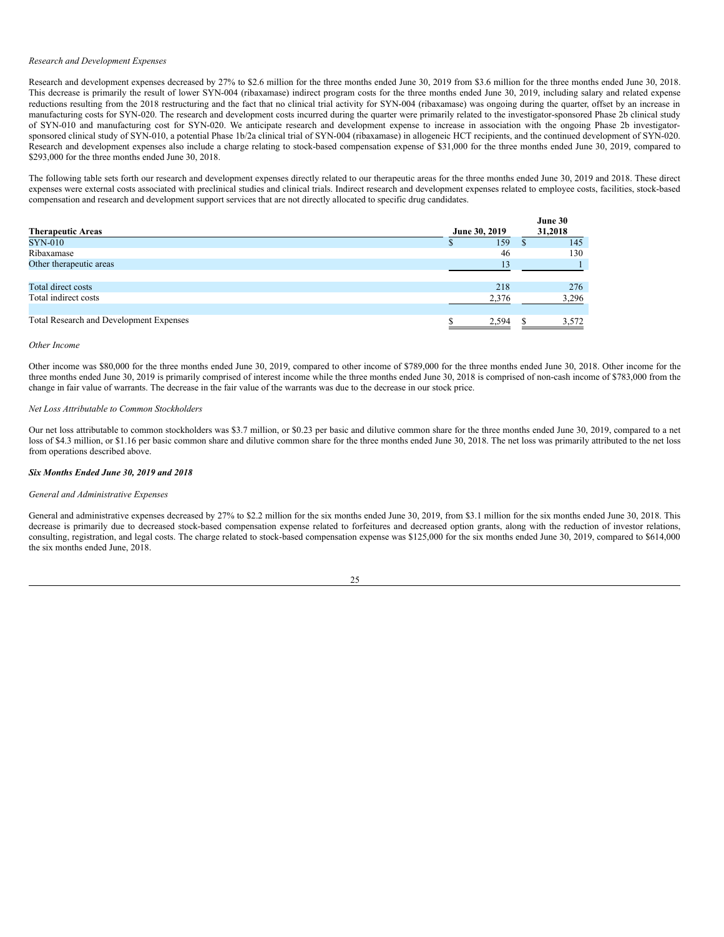#### *Research and Development Expenses*

Research and development expenses decreased by 27% to \$2.6 million for the three months ended June 30, 2019 from \$3.6 million for the three months ended June 30, 2018. This decrease is primarily the result of lower SYN-004 (ribaxamase) indirect program costs for the three months ended June 30, 2019, including salary and related expense reductions resulting from the 2018 restructuring and the fact that no clinical trial activity for SYN-004 (ribaxamase) was ongoing during the quarter, offset by an increase in manufacturing costs for SYN-020. The research and development costs incurred during the quarter were primarily related to the investigator-sponsored Phase 2b clinical study of SYN-010 and manufacturing cost for SYN-020. We anticipate research and development expense to increase in association with the ongoing Phase 2b investigatorsponsored clinical study of SYN-010, a potential Phase 1b/2a clinical trial of SYN-004 (ribaxamase) in allogeneic HCT recipients, and the continued development of SYN-020. Research and development expenses also include a charge relating to stock-based compensation expense of \$31,000 for the three months ended June 30, 2019, compared to \$293,000 for the three months ended June 30, 2018.

The following table sets forth our research and development expenses directly related to our therapeutic areas for the three months ended June 30, 2019 and 2018. These direct expenses were external costs associated with preclinical studies and clinical trials. Indirect research and development expenses related to employee costs, facilities, stock-based compensation and research and development support services that are not directly allocated to specific drug candidates.

|                                         |               | June 30 |
|-----------------------------------------|---------------|---------|
| <b>Therapeutic Areas</b>                | June 30, 2019 | 31,2018 |
| <b>SYN-010</b>                          | 159           | 145     |
| Ribaxamase                              | 46            | 130     |
| Other therapeutic areas                 | 13            |         |
|                                         |               |         |
| Total direct costs                      | 218           | 276     |
| Total indirect costs                    | 2.376         | 3,296   |
|                                         |               |         |
| Total Research and Development Expenses | 2,594         | 3,572   |

### *Other Income*

Other income was \$80,000 for the three months ended June 30, 2019, compared to other income of \$789,000 for the three months ended June 30, 2018. Other income for the three months ended June 30, 2019 is primarily comprised of interest income while the three months ended June 30, 2018 is comprised of non-cash income of \$783,000 from the change in fair value of warrants. The decrease in the fair value of the warrants was due to the decrease in our stock price.

## *Net Loss Attributable to Common Stockholders*

Our net loss attributable to common stockholders was \$3.7 million, or \$0.23 per basic and dilutive common share for the three months ended June 30, 2019, compared to a net loss of \$4.3 million, or \$1.16 per basic common share and dilutive common share for the three months ended June 30, 2018. The net loss was primarily attributed to the net loss from operations described above.

## *Six Months Ended June 30, 2019 and 2018*

### *General and Administrative Expenses*

General and administrative expenses decreased by 27% to \$2.2 million for the six months ended June 30, 2019, from \$3.1 million for the six months ended June 30, 2018. This decrease is primarily due to decreased stock-based compensation expense related to forfeitures and decreased option grants, along with the reduction of investor relations, consulting, registration, and legal costs. The charge related to stock-based compensation expense was \$125,000 for the six months ended June 30, 2019, compared to \$614,000 the six months ended June, 2018.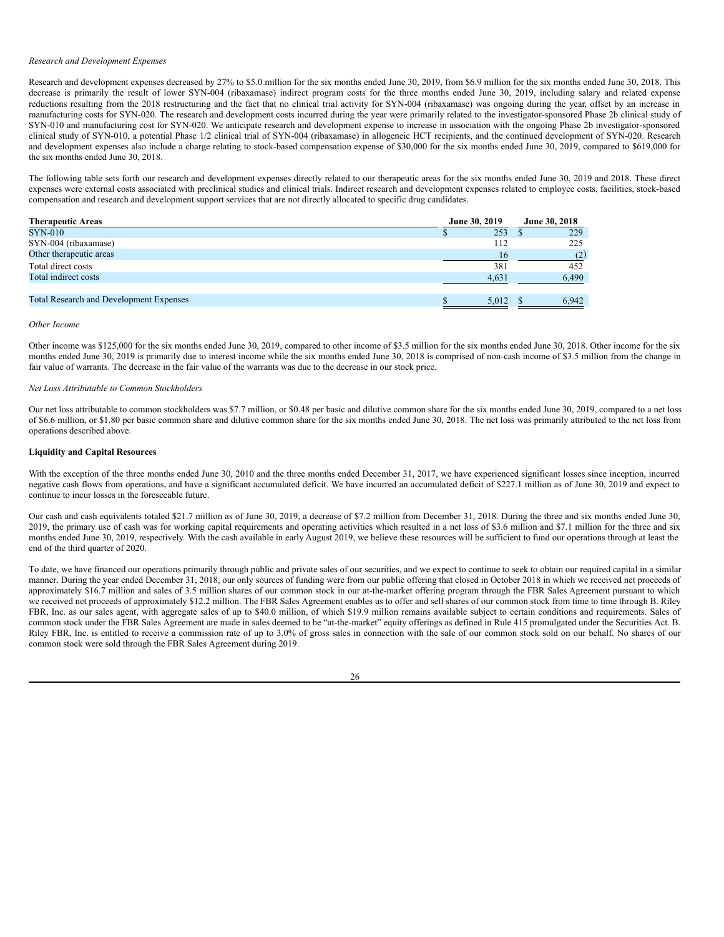### *Research and Development Expenses*

Research and development expenses decreased by 27% to \$5.0 million for the six months ended June 30, 2019, from \$6.9 million for the six months ended June 30, 2018. This decrease is primarily the result of lower SYN-004 (ribaxamase) indirect program costs for the three months ended June 30, 2019, including salary and related expense reductions resulting from the 2018 restructuring and the fact that no clinical trial activity for SYN-004 (ribaxamase) was ongoing during the year, offset by an increase in manufacturing costs for SYN-020. The research and development costs incurred during the year were primarily related to the investigator-sponsored Phase 2b clinical study of SYN-010 and manufacturing cost for SYN-020. We anticipate research and development expense to increase in association with the ongoing Phase 2b investigator-sponsored clinical study of SYN-010, a potential Phase 1/2 clinical trial of SYN-004 (ribaxamase) in allogeneic HCT recipients, and the continued development of SYN-020. Research and development expenses also include a charge relating to stock-based compensation expense of \$30,000 for the six months ended June 30, 2019, compared to \$619,000 for the six months ended June 30, 2018.

The following table sets forth our research and development expenses directly related to our therapeutic areas for the six months ended June 30, 2019 and 2018. These direct expenses were external costs associated with preclinical studies and clinical trials. Indirect research and development expenses related to employee costs, facilities, stock-based compensation and research and development support services that are not directly allocated to specific drug candidates.

| <b>Therapeutic Areas</b>                       | June 30, 2019 | June 30, 2018 |
|------------------------------------------------|---------------|---------------|
| <b>SYN-010</b>                                 | 253           | 229           |
| SYN-004 (ribaxamase)                           | 112           | 225           |
| Other therapeutic areas                        | 16            | (2)           |
| Total direct costs                             | 381           | 452           |
| Total indirect costs                           | 4.631         | 6,490         |
|                                                |               |               |
| <b>Total Research and Development Expenses</b> | 5.012         | 6.942         |

*Other Income*

Other income was \$125,000 for the six months ended June 30, 2019, compared to other income of \$3.5 million for the six months ended June 30, 2018. Other income for the six months ended June 30, 2019 is primarily due to interest income while the six months ended June 30, 2018 is comprised of non-cash income of \$3.5 million from the change in fair value of warrants. The decrease in the fair value of the warrants was due to the decrease in our stock price.

# *Net Loss Attributable to Common Stockholders*

Our net loss attributable to common stockholders was \$7.7 million, or \$0.48 per basic and dilutive common share for the six months ended June 30, 2019, compared to a net loss of \$6.6 million, or \$1.80 per basic common share and dilutive common share for the six months ended June 30, 2018. The net loss was primarily attributed to the net loss from operations described above.

### **Liquidity and Capital Resources**

With the exception of the three months ended June 30, 2010 and the three months ended December 31, 2017, we have experienced significant losses since inception, incurred negative cash flows from operations, and have a significant accumulated deficit. We have incurred an accumulated deficit of \$227.1 million as of June 30, 2019 and expect to continue to incur losses in the foreseeable future.

Our cash and cash equivalents totaled \$21.7 million as of June 30, 2019, a decrease of \$7.2 million from December 31, 2018. During the three and six months ended June 30, 2019, the primary use of cash was for working capital requirements and operating activities which resulted in a net loss of \$3.6 million and \$7.1 million for the three and six months ended June 30, 2019, respectively. With the cash available in early August 2019, we believe these resources will be sufficient to fund our operations through at least the end of the third quarter of 2020.

To date, we have financed our operations primarily through public and private sales of our securities, and we expect to continue to seek to obtain our required capital in a similar manner. During the year ended December 31, 2018, our only sources of funding were from our public offering that closed in October 2018 in which we received net proceeds of approximately \$16.7 million and sales of 3.5 million shares of our common stock in our at-the-market offering program through the FBR Sales Agreement pursuant to which we received net proceeds of approximately \$12.2 million. The FBR Sales Agreement enables us to offer and sell shares of our common stock from time to time through B. Riley FBR, Inc. as our sales agent, with aggregate sales of up to \$40.0 million, of which \$19.9 million remains available subject to certain conditions and requirements. Sales of common stock under the FBR Sales Agreement are made in sales deemed to be "at-the-market" equity offerings as defined in Rule 415 promulgated under the Securities Act. B. Riley FBR, Inc. is entitled to receive a commission rate of up to 3.0% of gross sales in connection with the sale of our common stock sold on our behalf. No shares of our common stock were sold through the FBR Sales Agreement during 2019.

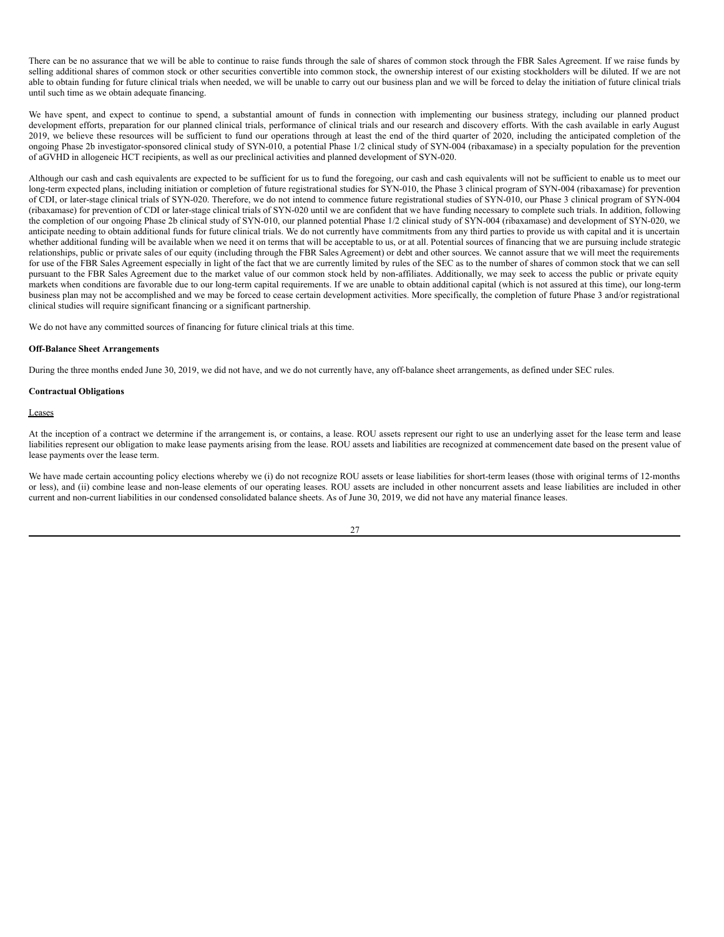There can be no assurance that we will be able to continue to raise funds through the sale of shares of common stock through the FBR Sales Agreement. If we raise funds by selling additional shares of common stock or other securities convertible into common stock, the ownership interest of our existing stockholders will be diluted. If we are not able to obtain funding for future clinical trials when needed, we will be unable to carry out our business plan and we will be forced to delay the initiation of future clinical trials until such time as we obtain adequate financing.

We have spent, and expect to continue to spend, a substantial amount of funds in connection with implementing our business strategy, including our planned product development efforts, preparation for our planned clinical trials, performance of clinical trials and our research and discovery efforts. With the cash available in early August 2019, we believe these resources will be sufficient to fund our operations through at least the end of the third quarter of 2020, including the anticipated completion of the 2019, we believe these resources will be suffici ongoing Phase 2b investigator-sponsored clinical study of SYN-010, a potential Phase 1/2 clinical study of SYN-004 (ribaxamase) in a specialty population for the prevention of aGVHD in allogeneic HCT recipients, as well as our preclinical activities and planned development of SYN-020.

Although our cash and cash equivalents are expected to be sufficient for us to fund the foregoing, our cash and cash equivalents will not be sufficient to enable us to meet our long-term expected plans, including initiation or completion of future registrational studies for SYN-010, the Phase 3 clinical program of SYN-004 (ribaxamase) for prevention of CDI, or later-stage clinical trials of SYN-020. Therefore, we do not intend to commence future registrational studies of SYN-010, our Phase 3 clinical program of SYN-004 (ribaxamase) for prevention of CDI or later-stage clinical trials of SYN-020 until we are confident that we have funding necessary to complete such trials. In addition, following the completion of our ongoing Phase 2b clinical study of SYN-010, our planned potential Phase 1/2 clinical study of SYN-004 (ribaxamase) and development of SYN-020, we anticipate needing to obtain additional funds for future clinical trials. We do not currently have commitments from any third parties to provide us with capital and it is uncertain whether additional funding will be available when we need it on terms that will be acceptable to us, or at all. Potential sources of financing that we are pursuing include strategic relationships, public or private sales of our equity (including through the FBR Sales Agreement) or debt and other sources. We cannot assure that we will meet the requirements for use of the FBR Sales Agreement especially in light of the fact that we are currently limited by rules of the SEC as to the number of shares of common stock that we can sell pursuant to the FBR Sales Agreement due to the market value of our common stock held by non-affiliates. Additionally, we may seek to access the public or private equity markets when conditions are favorable due to our long-term capital requirements. If we are unable to obtain additional capital (which is not assured at this time), our long-term business plan may not be accomplished and we may be forced to cease certain development activities. More specifically, the completion of future Phase 3 and/or registrational clinical studies will require significant financing or a significant partnership.

We do not have any committed sources of financing for future clinical trials at this time.

#### **Off-Balance Sheet Arrangements**

During the three months ended June 30, 2019, we did not have, and we do not currently have, any off-balance sheet arrangements, as defined under SEC rules.

## **Contractual Obligations**

Leases

At the inception of a contract we determine if the arrangement is, or contains, a lease. ROU assets represent our right to use an underlying asset for the lease term and lease liabilities represent our obligation to make lease payments arising from the lease. ROU assets and liabilities are recognized at commencement date based on the present value of lease payments over the lease term.

We have made certain accounting policy elections whereby we (i) do not recognize ROU assets or lease liabilities for short-term leases (those with original terms of 12-months or less), and (ii) combine lease and non-lease elements of our operating leases. ROU assets are included in other noncurrent assets and lease liabilities are included in other current and non-current liabilities in our condensed consolidated balance sheets. As of June 30, 2019, we did not have any material finance leases.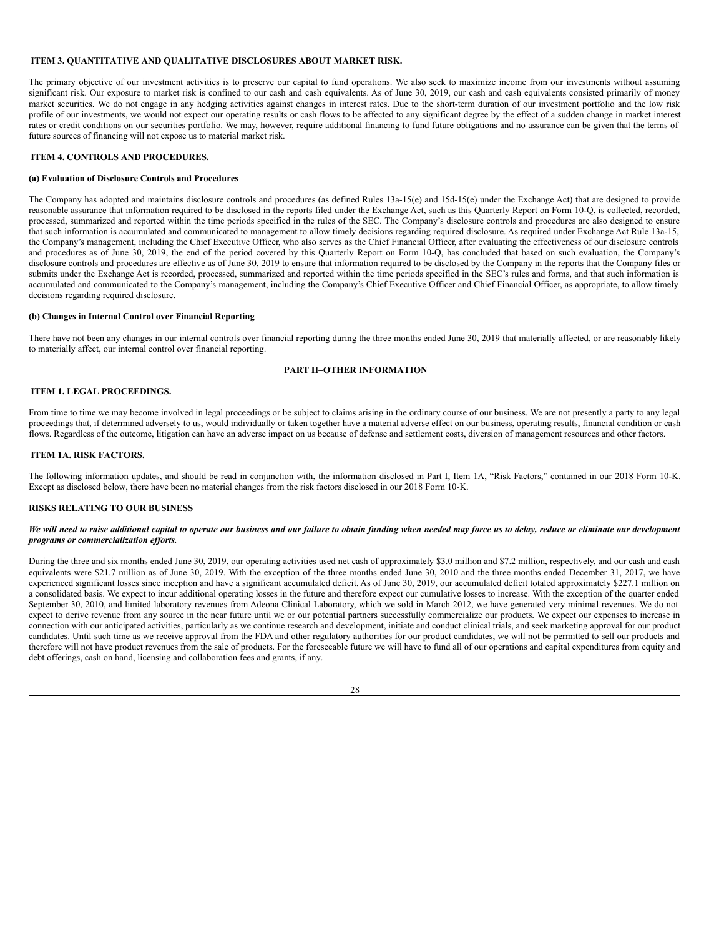### <span id="page-28-0"></span>**ITEM 3. QUANTITATIVE AND QUALITATIVE DISCLOSURES ABOUT MARKET RISK.**

The primary objective of our investment activities is to preserve our capital to fund operations. We also seek to maximize income from our investments without assuming significant risk. Our exposure to market risk is confined to our cash and cash equivalents. As of June 30, 2019, our cash and cash equivalents consisted primarily of money market securities. We do not engage in any hedging activities against changes in interest rates. Due to the short-term duration of our investment portfolio and the low risk profile of our investments, we would not expect our operating results or cash flows to be affected to any significant degree by the effect of a sudden change in market interest rates or credit conditions on our securities portfolio. We may, however, require additional financing to fund future obligations and no assurance can be given that the terms of future sources of financing will not expose us to material market risk.

# <span id="page-28-1"></span>**ITEM 4. CONTROLS AND PROCEDURES.**

### **(a) Evaluation of Disclosure Controls and Procedures**

The Company has adopted and maintains disclosure controls and procedures (as defined Rules 13a-15(e) and 15d-15(e) under the Exchange Act) that are designed to provide reasonable assurance that information required to be disclosed in the reports filed under the Exchange Act, such as this Quarterly Report on Form 10-Q, is collected, recorded, processed, summarized and reported within the time periods specified in the rules of the SEC. The Company's disclosure controls and procedures are also designed to ensure that such information is accumulated and communicated to management to allow timely decisions regarding required disclosure. As required under Exchange Act Rule 13a-15, the Company's management, including the Chief Executive Officer, who also serves as the Chief Financial Officer, after evaluating the effectiveness of our disclosure controls and procedures as of June 30, 2019, the end of the period covered by this Quarterly Report on Form 10-Q, has concluded that based on such evaluation, the Company's disclosure controls and procedures are effective as of June 30, 2019 to ensure that information required to be disclosed by the Company in the reports that the Company files or submits under the Exchange Act is recorded, processed, summarized and reported within the time periods specified in the SEC's rules and forms, and that such information is accumulated and communicated to the Company's management, including the Company's Chief Executive Officer and Chief Financial Officer, as appropriate, to allow timely decisions regarding required disclosure.

# **(b) Changes in Internal Control over Financial Reporting**

There have not been any changes in our internal controls over financial reporting during the three months ended June 30, 2019 that materially affected, or are reasonably likely to materially affect, our internal control over financial reporting.

# <span id="page-28-2"></span>**PART II–OTHER INFORMATION**

# <span id="page-28-3"></span>**ITEM 1. LEGAL PROCEEDINGS.**

From time to time we may become involved in legal proceedings or be subject to claims arising in the ordinary course of our business. We are not presently a party to any legal proceedings that, if determined adversely to us, would individually or taken together have a material adverse effect on our business, operating results, financial condition or cash flows. Regardless of the outcome, litigation can have an adverse impact on us because of defense and settlement costs, diversion of management resources and other factors.

### <span id="page-28-4"></span>**ITEM 1A. RISK FACTORS.**

The following information updates, and should be read in conjunction with, the information disclosed in Part I, Item 1A, "Risk Factors," contained in our 2018 Form 10-K. Except as disclosed below, there have been no material changes from the risk factors disclosed in our 2018 Form 10-K.

### **RISKS RELATING TO OUR BUSINESS**

### We will need to raise additional capital to operate our business and our failure to obtain funding when needed may force us to delay, reduce or eliminate our development *programs or commercialization ef orts.*

During the three and six months ended June 30, 2019, our operating activities used net cash of approximately \$3.0 million and \$7.2 million, respectively, and our cash and cash equivalents were \$21.7 million as of June 30, 2019. With the exception of the three months ended June 30, 2010 and the three months ended December 31, 2017, we have experienced significant losses since inception and have a significant accumulated deficit. As of June 30, 2019, our accumulated deficit totaled approximately \$227.1 million on a consolidated basis. We expect to incur additional operating losses in the future and therefore expect our cumulative losses to increase. With the exception of the quarter ended September 30, 2010, and limited laboratory revenues from Adeona Clinical Laboratory, which we sold in March 2012, we have generated very minimal revenues. We do not expect to derive revenue from any source in the near future until we or our potential partners successfully commercialize our products. We expect our expenses to increase in connection with our anticipated activities, particularly as we continue research and development, initiate and conduct clinical trials, and seek marketing approval for our product candidates. Until such time as we receive approval from the FDA and other regulatory authorities for our product candidates, we will not be permitted to sell our products and therefore will not have product revenues from the sale of products. For the foreseeable future we will have to fund all of our operations and capital expenditures from equity and debt offerings, cash on hand, licensing and collaboration fees and grants, if any.

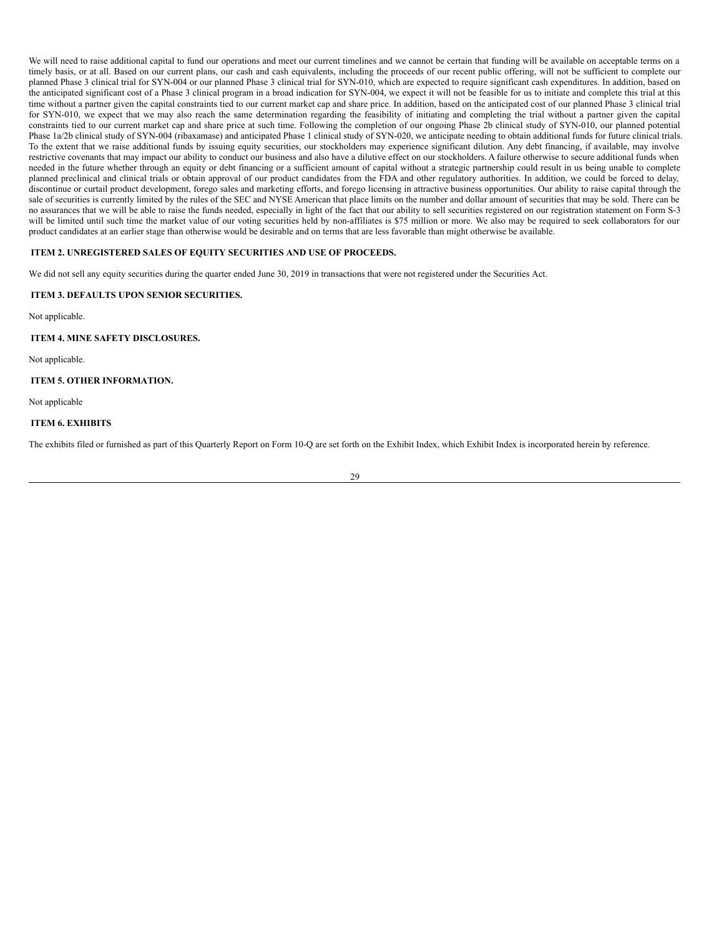We will need to raise additional capital to fund our operations and meet our current timelines and we cannot be certain that funding will be available on acceptable terms on a timely basis, or at all. Based on our current plans, our cash and cash equivalents, including the proceeds of our recent public offering, will not be sufficient to complete our planned Phase 3 clinical trial for SYN-004 or our planned Phase 3 clinical trial for SYN-010, which are expected to require significant cash expenditures. In addition, based on the anticipated significant cost of a Phase 3 clinical program in a broad indication for SYN-004, we expect it will not be feasible for us to initiate and complete this trial at this time without a partner given the capital constraints tied to our current market cap and share price. In addition, based on the anticipated cost of our planned Phase 3 clinical trial for SYN-010, we expect that we may also reach the same determination regarding the feasibility of initiating and completing the trial without a partner given the capital constraints tied to our current market cap and share price at such time. Following the completion of our ongoing Phase 2b clinical study of SYN-010, our planned potential Phase 1a/2b clinical study of SYN-004 (ribaxamase) and anticipated Phase 1 clinical study of SYN-020, we anticipate needing to obtain additional funds for future clinical trials. To the extent that we raise additional funds by issuing equity securities, our stockholders may experience significant dilution. Any debt financing, if available, may involve restrictive covenants that may impact our ability to conduct our business and also have a dilutive effect on our stockholders. A failure otherwise to secure additional funds when needed in the future whether through an equity or debt financing or a sufficient amount of capital without a strategic partnership could result in us being unable to complete planned preclinical and clinical trials or obtain approval of our product candidates from the FDA and other regulatory authorities. In addition, we could be forced to delay, discontinue or curtail product development, forego sales and marketing efforts, and forego licensing in attractive business opportunities. Our ability to raise capital through the sale of securities is currently limited by the rules of the SEC and NYSE American that place limits on the number and dollar amount of securities that may be sold. There can be no assurances that we will be able to raise the funds needed, especially in light of the fact that our ability to sell securities registered on our registration statement on Form S-3 will be limited until such time the market value of our voting securities held by non-affiliates is \$75 million or more. We also may be required to seek collaborators for our product candidates at an earlier stage than otherwise would be desirable and on terms that are less favorable than might otherwise be available.

## <span id="page-29-0"></span>**ITEM 2. UNREGISTERED SALES OF EQUITY SECURITIES AND USE OF PROCEEDS.**

We did not sell any equity securities during the quarter ended June 30, 2019 in transactions that were not registered under the Securities Act.

## <span id="page-29-1"></span>**ITEM 3. DEFAULTS UPON SENIOR SECURITIES.**

Not applicable.

<span id="page-29-2"></span>**ITEM 4. MINE SAFETY DISCLOSURES.**

Not applicable.

# <span id="page-29-3"></span>**ITEM 5. OTHER INFORMATION.**

Not applicable

# <span id="page-29-4"></span>**ITEM 6. EXHIBITS**

The exhibits filed or furnished as part of this Quarterly Report on Form 10-Q are set forth on the Exhibit Index, which Exhibit Index is incorporated herein by reference.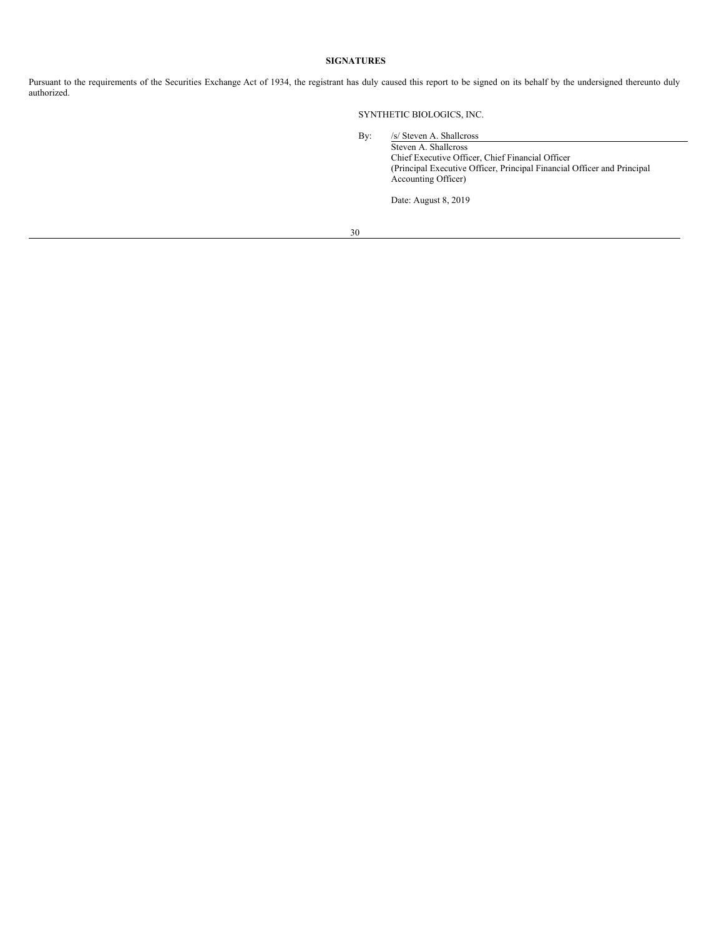# <span id="page-30-0"></span>**SIGNATURES**

Pursuant to the requirements of the Securities Exchange Act of 1934, the registrant has duly caused this report to be signed on its behalf by the undersigned thereunto duly authorized.

SYNTHETIC BIOLOGICS, INC.

By: /s/ Steven A. Shallcross Steven A. Shallcross Chief Executive Officer, Chief Financial Officer (Principal Executive Officer, Principal Financial Officer and Principal Accounting Officer)

Date: August 8, 2019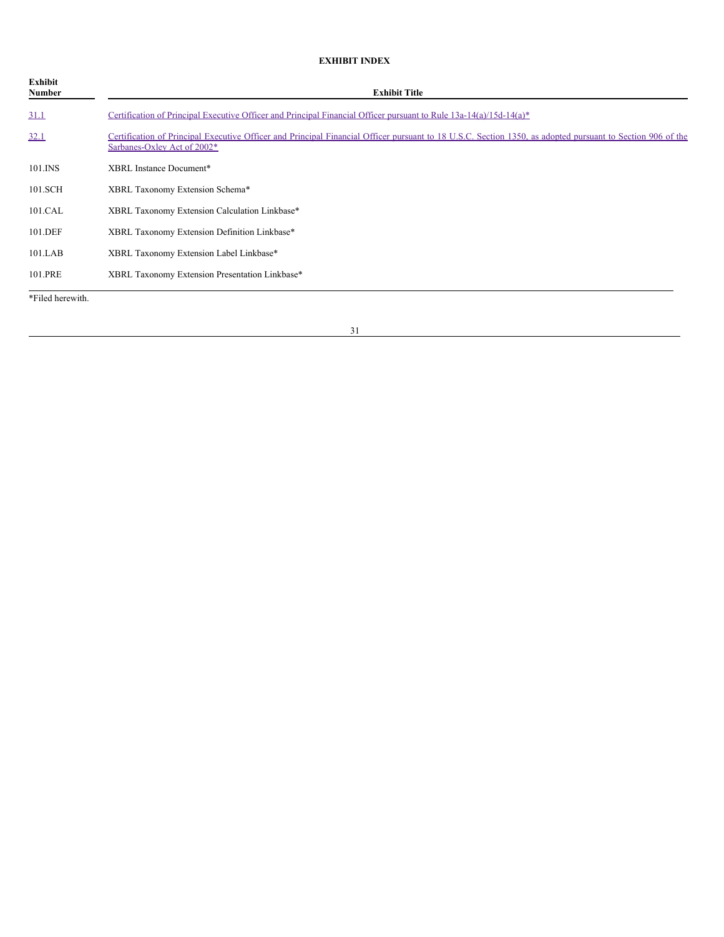# **EXHIBIT INDEX**

| Exhibit<br>Number | <b>Exhibit Title</b>                                                                                                                                                                      |
|-------------------|-------------------------------------------------------------------------------------------------------------------------------------------------------------------------------------------|
| 31.1              | Certification of Principal Executive Officer and Principal Financial Officer pursuant to Rule $13a-14(a)/15d-14(a)^*$                                                                     |
| 32.1              | Certification of Principal Executive Officer and Principal Financial Officer pursuant to 18 U.S.C. Section 1350, as adopted pursuant to Section 906 of the<br>Sarbanes-Oxley Act of 2002* |
| 101.INS           | XBRL Instance Document*                                                                                                                                                                   |
| 101.SCH           | XBRL Taxonomy Extension Schema*                                                                                                                                                           |
| 101.CAL           | XBRL Taxonomy Extension Calculation Linkbase*                                                                                                                                             |
| 101.DEF           | XBRL Taxonomy Extension Definition Linkbase*                                                                                                                                              |
| $101$ .LAB        | XBRL Taxonomy Extension Label Linkbase*                                                                                                                                                   |
| 101.PRE           | XBRL Taxonomy Extension Presentation Linkbase*                                                                                                                                            |
| *Filed herewith.  |                                                                                                                                                                                           |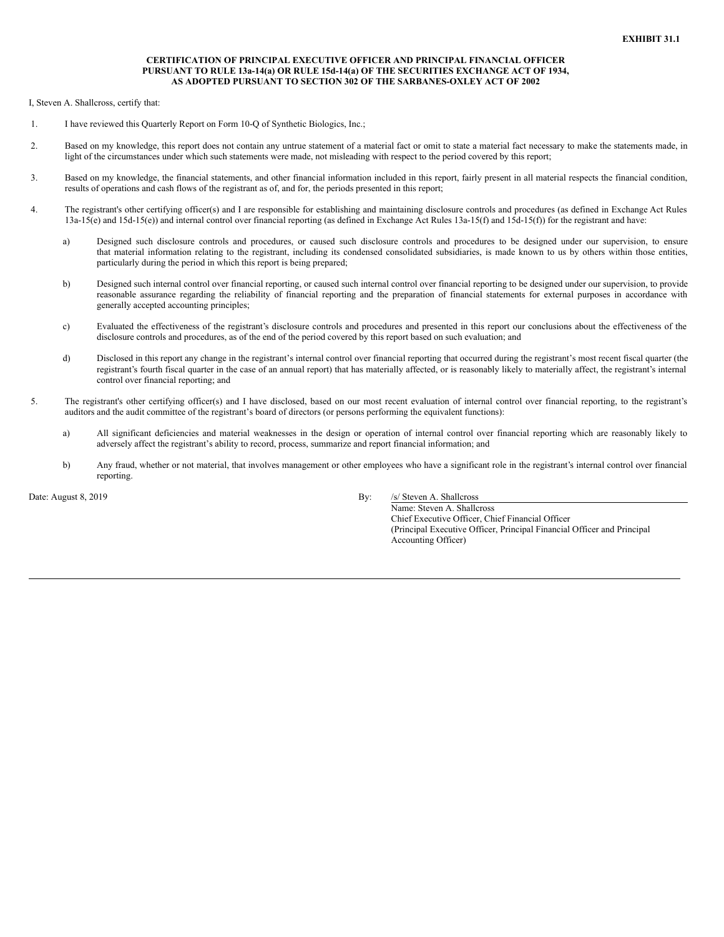## **CERTIFICATION OF PRINCIPAL EXECUTIVE OFFICER AND PRINCIPAL FINANCIAL OFFICER PURSUANT TO RULE 13a-14(a) OR RULE 15d-14(a) OF THE SECURITIES EXCHANGE ACT OF 1934, AS ADOPTED PURSUANT TO SECTION 302 OF THE SARBANES-OXLEY ACT OF 2002**

<span id="page-32-0"></span>I, Steven A. Shallcross, certify that:

- 1. I have reviewed this Quarterly Report on Form 10-Q of Synthetic Biologics, Inc.;
- 2. Based on my knowledge, this report does not contain any untrue statement of a material fact or omit to state a material fact necessary to make the statements made, in light of the circumstances under which such statements were made, not misleading with respect to the period covered by this report;
- 3. Based on my knowledge, the financial statements, and other financial information included in this report, fairly present in all material respects the financial condition, results of operations and cash flows of the registrant as of, and for, the periods presented in this report;
- 4. The registrant's other certifying officer(s) and I are responsible for establishing and maintaining disclosure controls and procedures (as defined in Exchange Act Rules 13a-15(e) and 15d-15(e)) and internal control over financial reporting (as defined in Exchange Act Rules 13a-15(f) and 15d-15(f)) for the registrant and have:
	- a) Designed such disclosure controls and procedures, or caused such disclosure controls and procedures to be designed under our supervision, to ensure that material information relating to the registrant, including its condensed consolidated subsidiaries, is made known to us by others within those entities, particularly during the period in which this report is being prepared;
	- b) Designed such internal control over financial reporting, or caused such internal control over financial reporting to be designed under our supervision, to provide reasonable assurance regarding the reliability of financial reporting and the preparation of financial statements for external purposes in accordance with generally accepted accounting principles;
	- c) Evaluated the effectiveness of the registrant's disclosure controls and procedures and presented in this report our conclusions about the effectiveness of the disclosure controls and procedures, as of the end of the period covered by this report based on such evaluation; and
	- d) Disclosed in this report any change in the registrant's internal control over financial reporting that occurred during the registrant's most recent fiscal quarter (the registrant's fourth fiscal quarter in the case of an annual report) that has materially affected, or is reasonably likely to materially affect, the registrant's internal control over financial reporting; and
- 5. The registrant's other certifying officer(s) and I have disclosed, based on our most recent evaluation of internal control over financial reporting, to the registrant's auditors and the audit committee of the registrant's board of directors (or persons performing the equivalent functions):
	- a) All significant deficiencies and material weaknesses in the design or operation of internal control over financial reporting which are reasonably likely to adversely affect the registrant's ability to record, process, summarize and report financial information; and
	- b) Any fraud, whether or not material, that involves management or other employees who have a significant role in the registrant's internal control over financial reporting.

Date: August 8, 2019 By: */s/ Steven A. Shallcross* 

Name: Steven A. Shallcross Chief Executive Officer, Chief Financial Officer (Principal Executive Officer, Principal Financial Officer and Principal Accounting Officer)